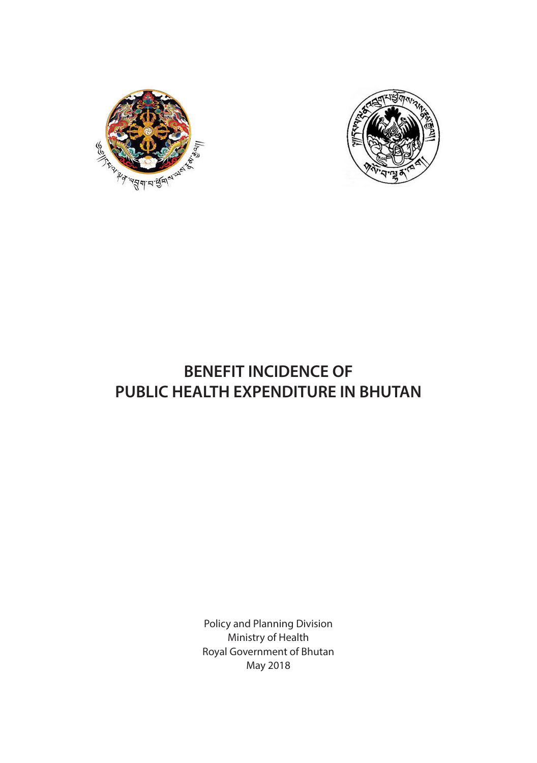



# **BENEFIT INCIDENCE OF PUBLIC HEALTH EXPENDITURE IN BHUTAN**

Policy and Planning Division Ministry of Health Royal Government of Bhutan May 2018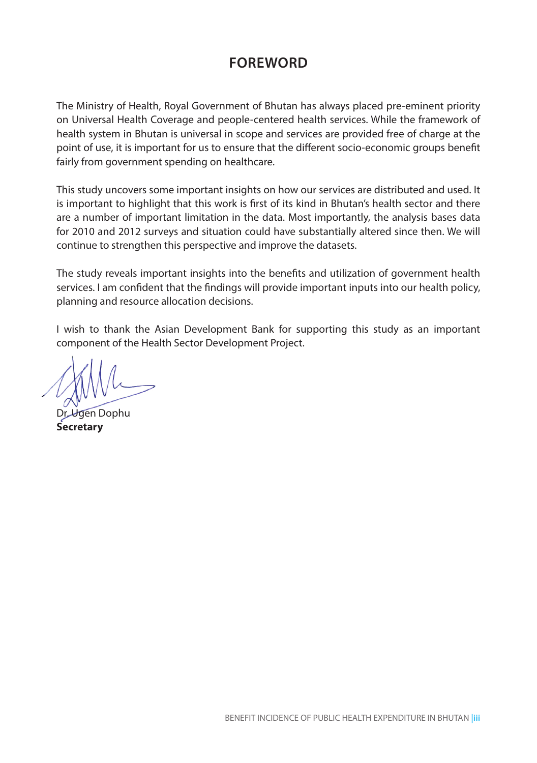## **FOREWORD**

The Ministry of Health, Royal Government of Bhutan has always placed pre-eminent priority on Universal Health Coverage and people-centered health services. While the framework of health system in Bhutan is universal in scope and services are provided free of charge at the point of use, it is important for us to ensure that the different socio-economic groups benefit fairly from government spending on healthcare.

This study uncovers some important insights on how our services are distributed and used. It is important to highlight that this work is first of its kind in Bhutan's health sector and there are a number of important limitation in the data. Most importantly, the analysis bases data for 2010 and 2012 surveys and situation could have substantially altered since then. We will continue to strengthen this perspective and improve the datasets.

The study reveals important insights into the benefits and utilization of government health services. I am confident that the findings will provide important inputs into our health policy, planning and resource allocation decisions.

I wish to thank the Asian Development Bank for supporting this study as an important component of the Health Sector Development Project.

Dr. Ugen Dophu **Secretary**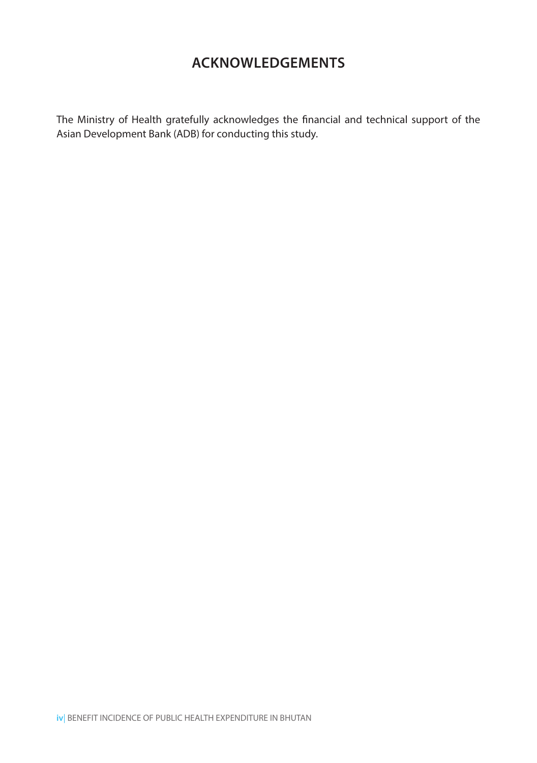## **ACKNOWLEDGEMENTS**

The Ministry of Health gratefully acknowledges the financial and technical support of the Asian Development Bank (ADB) for conducting this study.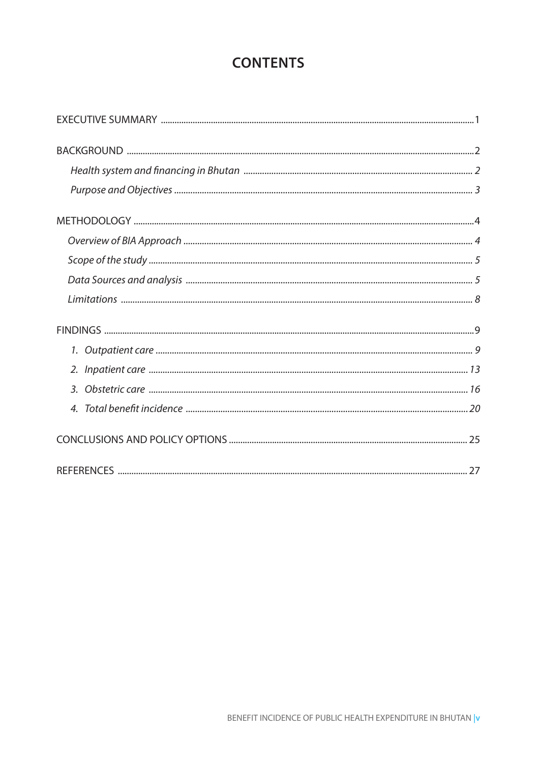## **CONTENTS**

| $\overline{4}$ |  |
|----------------|--|
|                |  |
|                |  |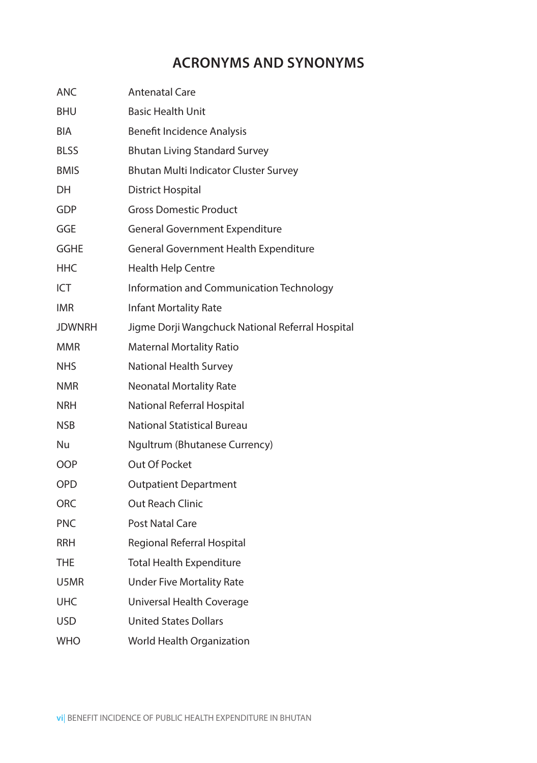## **ACRONYMS AND SYNONYMS**

| ANC           | <b>Antenatal Care</b>                            |
|---------------|--------------------------------------------------|
| <b>BHU</b>    | <b>Basic Health Unit</b>                         |
| <b>BIA</b>    | <b>Benefit Incidence Analysis</b>                |
| <b>BLSS</b>   | <b>Bhutan Living Standard Survey</b>             |
| <b>BMIS</b>   | Bhutan Multi Indicator Cluster Survey            |
| DH            | <b>District Hospital</b>                         |
| GDP           | <b>Gross Domestic Product</b>                    |
| GGE           | <b>General Government Expenditure</b>            |
| GGHE          | General Government Health Expenditure            |
| HHC           | <b>Health Help Centre</b>                        |
| ICT           | Information and Communication Technology         |
| <b>IMR</b>    | <b>Infant Mortality Rate</b>                     |
| <b>JDWNRH</b> | Jigme Dorji Wangchuck National Referral Hospital |
| <b>MMR</b>    | <b>Maternal Mortality Ratio</b>                  |
| <b>NHS</b>    | <b>National Health Survey</b>                    |
| <b>NMR</b>    | <b>Neonatal Mortality Rate</b>                   |
| <b>NRH</b>    | National Referral Hospital                       |
| <b>NSB</b>    | <b>National Statistical Bureau</b>               |
| Nu            | Ngultrum (Bhutanese Currency)                    |
| <b>OOP</b>    | Out Of Pocket                                    |
| <b>OPD</b>    | <b>Outpatient Department</b>                     |
| <b>ORC</b>    | <b>Out Reach Clinic</b>                          |
| <b>PNC</b>    | <b>Post Natal Care</b>                           |
| <b>RRH</b>    | Regional Referral Hospital                       |
| THE           | <b>Total Health Expenditure</b>                  |
| U5MR          | <b>Under Five Mortality Rate</b>                 |
| <b>UHC</b>    | Universal Health Coverage                        |
| <b>USD</b>    | <b>United States Dollars</b>                     |
| <b>WHO</b>    | World Health Organization                        |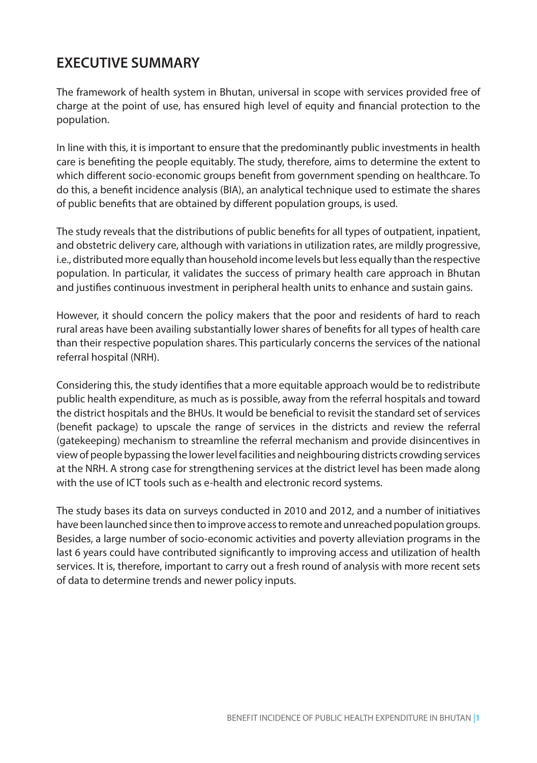## **EXECUTIVE SUMMARY**

The framework of health system in Bhutan, universal in scope with services provided free of charge at the point of use, has ensured high level of equity and financial protection to the population.

In line with this, it is important to ensure that the predominantly public investments in health care is benefiting the people equitably. The study, therefore, aims to determine the extent to which different socio-economic groups benefit from government spending on healthcare. To do this, a benefit incidence analysis (BIA), an analytical technique used to estimate the shares of public benefits that are obtained by different population groups, is used.

The study reveals that the distributions of public benefits for all types of outpatient, inpatient, and obstetric delivery care, although with variations in utilization rates, are mildly progressive, i.e., distributed more equally than household income levels but less equally than the respective population. In particular, it validates the success of primary health care approach in Bhutan and justifies continuous investment in peripheral health units to enhance and sustain gains.

However, it should concern the policy makers that the poor and residents of hard to reach rural areas have been availing substantially lower shares of benefits for all types of health care than their respective population shares. This particularly concerns the services of the national referral hospital (NRH).

Considering this, the study identifies that a more equitable approach would be to redistribute public health expenditure, as much as is possible, away from the referral hospitals and toward the district hospitals and the BHUs. It would be beneficial to revisit the standard set of services (benefit package) to upscale the range of services in the districts and review the referral (gatekeeping) mechanism to streamline the referral mechanism and provide disincentives in view of people bypassing the lower level facilities and neighbouring districts crowding services at the NRH. A strong case for strengthening services at the district level has been made along with the use of ICT tools such as e-health and electronic record systems.

The study bases its data on surveys conducted in 2010 and 2012, and a number of initiatives have been launched since then to improve access to remote and unreached population groups. Besides, a large number of socio-economic activities and poverty alleviation programs in the last 6 years could have contributed significantly to improving access and utilization of health services. It is, therefore, important to carry out a fresh round of analysis with more recent sets of data to determine trends and newer policy inputs.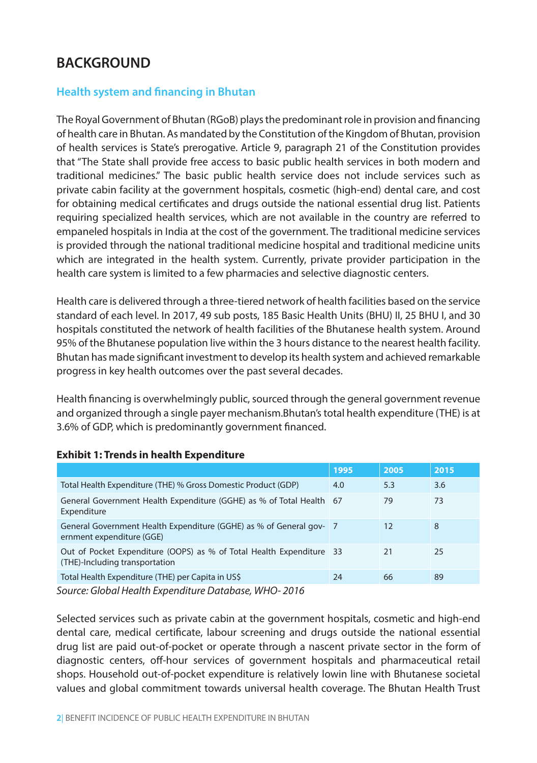## **BACKGROUND**

### **Health system and financing in Bhutan**

The Royal Government of Bhutan (RGoB) plays the predominant role in provision and financing of health care in Bhutan. As mandated by the Constitution of the Kingdom of Bhutan, provision of health services is State's prerogative. Article 9, paragraph 21 of the Constitution provides that "The State shall provide free access to basic public health services in both modern and traditional medicines." The basic public health service does not include services such as private cabin facility at the government hospitals, cosmetic (high-end) dental care, and cost for obtaining medical certificates and drugs outside the national essential drug list. Patients requiring specialized health services, which are not available in the country are referred to empaneled hospitals in India at the cost of the government. The traditional medicine services is provided through the national traditional medicine hospital and traditional medicine units which are integrated in the health system. Currently, private provider participation in the health care system is limited to a few pharmacies and selective diagnostic centers.

Health care is delivered through a three-tiered network of health facilities based on the service standard of each level. In 2017, 49 sub posts, 185 Basic Health Units (BHU) II, 25 BHU I, and 30 hospitals constituted the network of health facilities of the Bhutanese health system. Around 95% of the Bhutanese population live within the 3 hours distance to the nearest health facility. Bhutan has made significant investment to develop its health system and achieved remarkable progress in key health outcomes over the past several decades.

Health financing is overwhelmingly public, sourced through the general government revenue and organized through a single payer mechanism.Bhutan's total health expenditure (THE) is at 3.6% of GDP, which is predominantly government financed.

|                                                                                                        | 1995 | 2005 | 2015 |
|--------------------------------------------------------------------------------------------------------|------|------|------|
| Total Health Expenditure (THE) % Gross Domestic Product (GDP)                                          | 4.0  | 5.3  | 3.6  |
| General Government Health Expenditure (GGHE) as % of Total Health 67<br>Expenditure                    |      | 79   | 73   |
| General Government Health Expenditure (GGHE) as % of General gov- 7<br>ernment expenditure (GGE)       |      | 12   | 8    |
| Out of Pocket Expenditure (OOPS) as % of Total Health Expenditure 33<br>(THE)-Including transportation |      | 21   | 25   |
| Total Health Expenditure (THE) per Capita in US\$                                                      | 24   | 66   | 89   |

#### **Exhibit 1: Trends in health Expenditure**

*Source: Global Health Expenditure Database, WHO- 2016*

Selected services such as private cabin at the government hospitals, cosmetic and high-end dental care, medical certificate, labour screening and drugs outside the national essential drug list are paid out-of-pocket or operate through a nascent private sector in the form of diagnostic centers, off-hour services of government hospitals and pharmaceutical retail shops. Household out-of-pocket expenditure is relatively lowin line with Bhutanese societal values and global commitment towards universal health coverage. The Bhutan Health Trust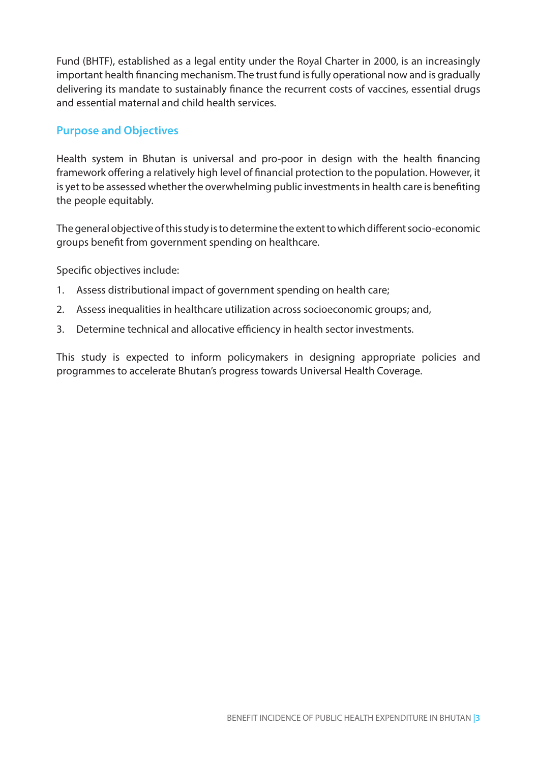Fund (BHTF), established as a legal entity under the Royal Charter in 2000, is an increasingly important health financing mechanism. The trust fund is fully operational now and is gradually delivering its mandate to sustainably finance the recurrent costs of vaccines, essential drugs and essential maternal and child health services.

### **Purpose and Objectives**

Health system in Bhutan is universal and pro-poor in design with the health financing framework offering a relatively high level of financial protection to the population. However, it is yet to be assessed whether the overwhelming public investments in health care is benefiting the people equitably.

The general objective of this study is to determine the extent to which different socio-economic groups benefit from government spending on healthcare.

Specific objectives include:

- 1. Assess distributional impact of government spending on health care;
- 2. Assess inequalities in healthcare utilization across socioeconomic groups; and,
- 3. Determine technical and allocative efficiency in health sector investments.

This study is expected to inform policymakers in designing appropriate policies and programmes to accelerate Bhutan's progress towards Universal Health Coverage.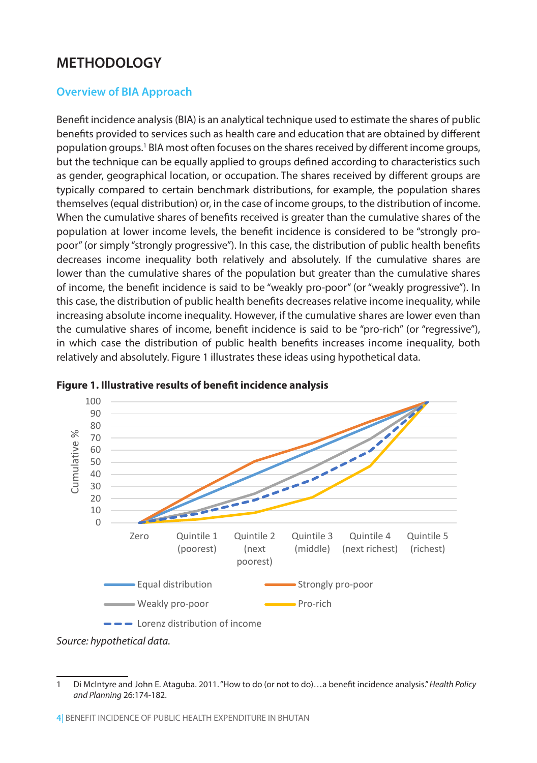## **METHODOLOGY**

## **Overview of BIA Approach**

Benefit incidence analysis (BIA) is an analytical technique used to estimate the shares of public benefits provided to services such as health care and education that are obtained by different population groups.<sup>1</sup> BIA most often focuses on the shares received by different income groups, but the technique can be equally applied to groups defined according to characteristics such as gender, geographical location, or occupation. The shares received by different groups are typically compared to certain benchmark distributions, for example, the population shares themselves (equal distribution) or, in the case of income groups, to the distribution of income. When the cumulative shares of benefits received is greater than the cumulative shares of the population at lower income levels, the benefit incidence is considered to be "strongly propoor" (or simply "strongly progressive"). In this case, the distribution of public health benefits decreases income inequality both relatively and absolutely. If the cumulative shares are lower than the cumulative shares of the population but greater than the cumulative shares of income, the benefit incidence is said to be "weakly pro-poor" (or "weakly progressive"). In this case, the distribution of public health benefits decreases relative income inequality, while increasing absolute income inequality. However, if the cumulative shares are lower even than the cumulative shares of income, benefit incidence is said to be "pro-rich" (or "regressive"), in which case the distribution of public health benefits increases income inequality, both relatively and absolutely. Figure 1 illustrates these ideas using hypothetical data.



**Figure 1. Illustrative results of benefit incidence analysis** 

*Source: hypothetical data.*

<sup>1</sup> Di McIntyre and John E. Ataguba. 2011. "How to do (or not to do)…a benefit incidence analysis." *Health Policy and Planning* 26:174-182.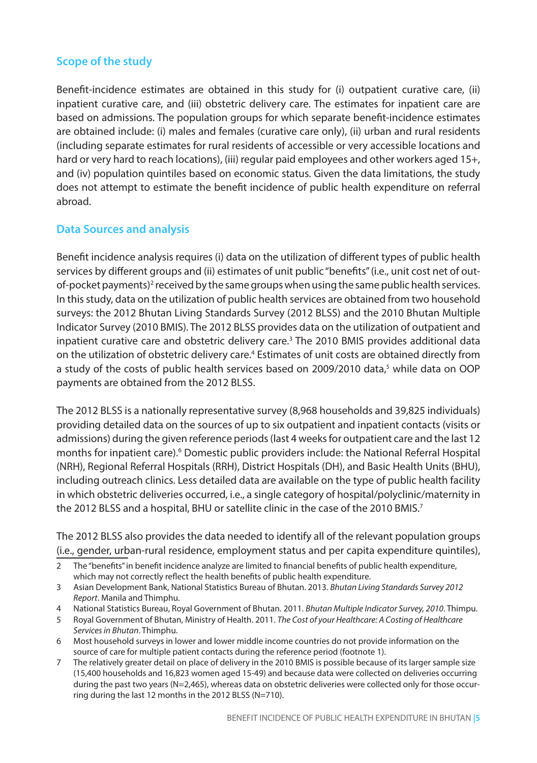## **Scope of the study**

Benefit-incidence estimates are obtained in this study for (i) outpatient curative care, (ii) inpatient curative care, and (iii) obstetric delivery care. The estimates for inpatient care are based on admissions. The population groups for which separate benefit-incidence estimates are obtained include: (i) males and females (curative care only), (ii) urban and rural residents (including separate estimates for rural residents of accessible or very accessible locations and hard or very hard to reach locations), (iii) regular paid employees and other workers aged 15+, and (iv) population quintiles based on economic status. Given the data limitations, the study does not attempt to estimate the benefit incidence of public health expenditure on referral abroad.

### **Data Sources and analysis**

Benefit incidence analysis requires (i) data on the utilization of different types of public health services by different groups and (ii) estimates of unit public "benefits" (i.e., unit cost net of outof-pocket payments)<sup>2</sup> received by the same groups when using the same public health services. In this study, data on the utilization of public health services are obtained from two household surveys: the 2012 Bhutan Living Standards Survey (2012 BLSS) and the 2010 Bhutan Multiple Indicator Survey (2010 BMIS). The 2012 BLSS provides data on the utilization of outpatient and inpatient curative care and obstetric delivery care.<sup>3</sup> The 2010 BMIS provides additional data on the utilization of obstetric delivery care.<sup>4</sup> Estimates of unit costs are obtained directly from a study of the costs of public health services based on 2009/2010 data,<sup>5</sup> while data on OOP payments are obtained from the 2012 BLSS.

The 2012 BLSS is a nationally representative survey (8,968 households and 39,825 individuals) providing detailed data on the sources of up to six outpatient and inpatient contacts (visits or admissions) during the given reference periods (last 4 weeks for outpatient care and the last 12 months for inpatient care).<sup>6</sup> Domestic public providers include: the National Referral Hospital (NRH), Regional Referral Hospitals (RRH), District Hospitals (DH), and Basic Health Units (BHU), including outreach clinics. Less detailed data are available on the type of public health facility in which obstetric deliveries occurred, i.e., a single category of hospital/polyclinic/maternity in the 2012 BLSS and a hospital, BHU or satellite clinic in the case of the 2010 BMIS.<sup>7</sup>

The 2012 BLSS also provides the data needed to identify all of the relevant population groups (i.e., gender, urban-rural residence, employment status and per capita expenditure quintiles),

- 3 Asian Development Bank, National Statistics Bureau of Bhutan. 2013. *Bhutan Living Standards Survey 2012 Report*. Manila and Thimphu.
- 4 National Statistics Bureau, Royal Government of Bhutan. 2011. *Bhutan Multiple Indicator Survey, 2010*. Thimpu.
- 5 Royal Government of Bhutan, Ministry of Health. 2011. *The Cost of your Healthcare: A Costing of Healthcare Services in Bhutan*. Thimphu.
- 6 Most household surveys in lower and lower middle income countries do not provide information on the source of care for multiple patient contacts during the reference period (footnote 1).
- 7 The relatively greater detail on place of delivery in the 2010 BMIS is possible because of its larger sample size (15,400 households and 16,823 women aged 15-49) and because data were collected on deliveries occurring during the past two years (N=2,465), whereas data on obstetric deliveries were collected only for those occurring during the last 12 months in the 2012 BLSS (N=710).

<sup>2</sup> The "benefits" in benefit incidence analyze are limited to financial benefits of public health expenditure, which may not correctly reflect the health benefits of public health expenditure.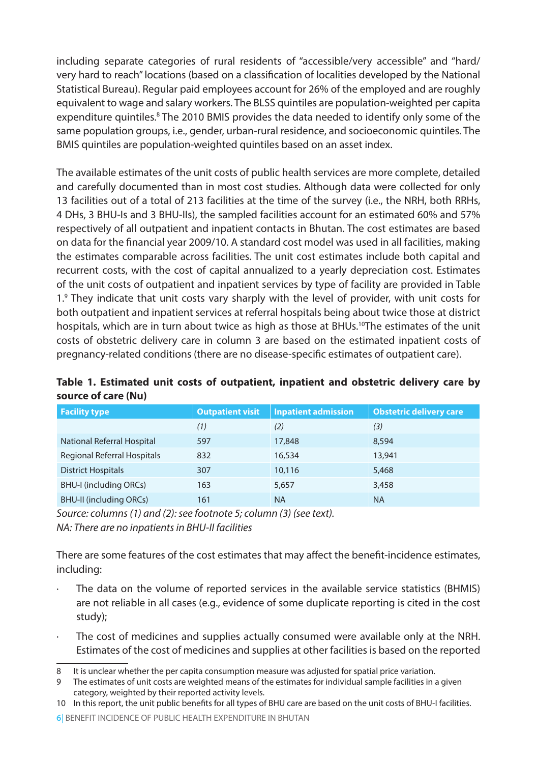including separate categories of rural residents of "accessible/very accessible" and "hard/ very hard to reach" locations (based on a classification of localities developed by the National Statistical Bureau). Regular paid employees account for 26% of the employed and are roughly equivalent to wage and salary workers. The BLSS quintiles are population-weighted per capita expenditure quintiles.<sup>8</sup> The 2010 BMIS provides the data needed to identify only some of the same population groups, i.e., gender, urban-rural residence, and socioeconomic quintiles. The BMIS quintiles are population-weighted quintiles based on an asset index.

The available estimates of the unit costs of public health services are more complete, detailed and carefully documented than in most cost studies. Although data were collected for only 13 facilities out of a total of 213 facilities at the time of the survey (i.e., the NRH, both RRHs, 4 DHs, 3 BHU-Is and 3 BHU-IIs), the sampled facilities account for an estimated 60% and 57% respectively of all outpatient and inpatient contacts in Bhutan. The cost estimates are based on data for the financial year 2009/10. A standard cost model was used in all facilities, making the estimates comparable across facilities. The unit cost estimates include both capital and recurrent costs, with the cost of capital annualized to a yearly depreciation cost. Estimates of the unit costs of outpatient and inpatient services by type of facility are provided in Table 1.9 They indicate that unit costs vary sharply with the level of provider, with unit costs for both outpatient and inpatient services at referral hospitals being about twice those at district hospitals, which are in turn about twice as high as those at BHUs.<sup>10</sup>The estimates of the unit costs of obstetric delivery care in column 3 are based on the estimated inpatient costs of pregnancy-related conditions (there are no disease-specific estimates of outpatient care).

|  |                     |  | Table 1. Estimated unit costs of outpatient, inpatient and obstetric delivery care by |  |  |  |
|--|---------------------|--|---------------------------------------------------------------------------------------|--|--|--|
|  | source of care (Nu) |  |                                                                                       |  |  |  |

| <b>Facility type</b>           | <b>Outpatient visit</b> | <b>Inpatient admission</b> | <b>Obstetric delivery care</b> |
|--------------------------------|-------------------------|----------------------------|--------------------------------|
|                                | (1)                     | (2)                        | (3)                            |
| National Referral Hospital     | 597                     | 17,848                     | 8.594                          |
| Regional Referral Hospitals    | 832                     | 16,534                     | 13,941                         |
| <b>District Hospitals</b>      | 307                     | 10,116                     | 5,468                          |
| <b>BHU-I (including ORCs)</b>  | 163                     | 5,657                      | 3,458                          |
| <b>BHU-II (including ORCs)</b> | 161                     | <b>NA</b>                  | <b>NA</b>                      |

*Source: columns (1) and (2): see footnote 5; column (3) (see text). NA: There are no inpatients in BHU-II facilities*

There are some features of the cost estimates that may affect the benefit-incidence estimates, including:

- The data on the volume of reported services in the available service statistics (BHMIS) are not reliable in all cases (e.g., evidence of some duplicate reporting is cited in the cost study);
- The cost of medicines and supplies actually consumed were available only at the NRH. Estimates of the cost of medicines and supplies at other facilities is based on the reported

9 The estimates of unit costs are weighted means of the estimates for individual sample facilities in a given category, weighted by their reported activity levels.

It is unclear whether the per capita consumption measure was adjusted for spatial price variation.

<sup>10</sup> In this report, the unit public benefits for all types of BHU care are based on the unit costs of BHU-I facilities.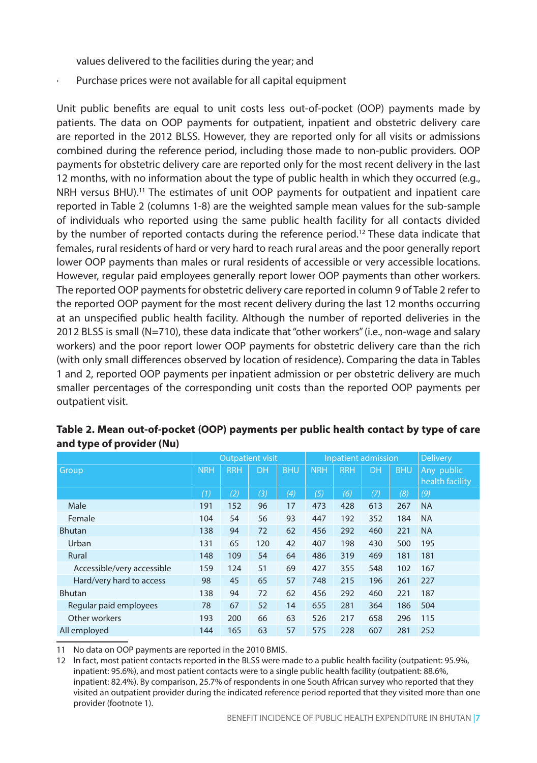values delivered to the facilities during the year; and

Purchase prices were not available for all capital equipment

Unit public benefits are equal to unit costs less out-of-pocket (OOP) payments made by patients. The data on OOP payments for outpatient, inpatient and obstetric delivery care are reported in the 2012 BLSS. However, they are reported only for all visits or admissions combined during the reference period, including those made to non-public providers. OOP payments for obstetric delivery care are reported only for the most recent delivery in the last 12 months, with no information about the type of public health in which they occurred (e.g., NRH versus BHU).<sup>11</sup> The estimates of unit OOP payments for outpatient and inpatient care reported in Table 2 (columns 1-8) are the weighted sample mean values for the sub-sample of individuals who reported using the same public health facility for all contacts divided by the number of reported contacts during the reference period.<sup>12</sup> These data indicate that females, rural residents of hard or very hard to reach rural areas and the poor generally report lower OOP payments than males or rural residents of accessible or very accessible locations. However, regular paid employees generally report lower OOP payments than other workers. The reported OOP payments for obstetric delivery care reported in column 9 of Table 2 refer to the reported OOP payment for the most recent delivery during the last 12 months occurring at an unspecified public health facility. Although the number of reported deliveries in the 2012 BLSS is small (N=710), these data indicate that "other workers" (i.e., non-wage and salary workers) and the poor report lower OOP payments for obstetric delivery care than the rich (with only small differences observed by location of residence). Comparing the data in Tables 1 and 2, reported OOP payments per inpatient admission or per obstetric delivery are much smaller percentages of the corresponding unit costs than the reported OOP payments per outpatient visit.

|                            |            | <b>Outpatient visit</b> |     |            |            | Inpatient admission | <b>Delivery</b> |            |                               |
|----------------------------|------------|-------------------------|-----|------------|------------|---------------------|-----------------|------------|-------------------------------|
| Group                      | <b>NRH</b> | <b>RRH</b>              | DH  | <b>BHU</b> | <b>NRH</b> | <b>RRH</b>          | <b>DH</b>       | <b>BHU</b> | Any public<br>health facility |
|                            | (1)        | (2)                     | (3) | (4)        | (5)        | (6)                 | (7)             | (8)        | (9)                           |
| Male                       | 191        | 152                     | 96  | 17         | 473        | 428                 | 613             | 267        | <b>NA</b>                     |
| Female                     | 104        | 54                      | 56  | 93         | 447        | 192                 | 352             | 184        | <b>NA</b>                     |
| <b>Bhutan</b>              | 138        | 94                      | 72  | 62         | 456        | 292                 | 460             | 221        | <b>NA</b>                     |
| Urban                      | 131        | 65                      | 120 | 42         | 407        | 198                 | 430             | 500        | 195                           |
| Rural                      | 148        | 109                     | 54  | 64         | 486        | 319                 | 469             | 181        | 181                           |
| Accessible/very accessible | 159        | 124                     | 51  | 69         | 427        | 355                 | 548             | 102        | 167                           |
| Hard/very hard to access   | 98         | 45                      | 65  | 57         | 748        | 215                 | 196             | 261        | 227                           |
| <b>Bhutan</b>              | 138        | 94                      | 72  | 62         | 456        | 292                 | 460             | 221        | 187                           |
| Regular paid employees     | 78         | 67                      | 52  | 14         | 655        | 281                 | 364             | 186        | 504                           |
| Other workers              | 193        | 200                     | 66  | 63         | 526        | 217                 | 658             | 296        | 115                           |
| All employed               | 144        | 165                     | 63  | 57         | 575        | 228                 | 607             | 281        | 252                           |

**Table 2. Mean out-of-pocket (OOP) payments per public health contact by type of care and type of provider (Nu)**

11 No data on OOP payments are reported in the 2010 BMIS.

12 In fact, most patient contacts reported in the BLSS were made to a public health facility (outpatient: 95.9%, inpatient: 95.6%), and most patient contacts were to a single public health facility (outpatient: 88.6%, inpatient: 82.4%). By comparison, 25.7% of respondents in one South African survey who reported that they visited an outpatient provider during the indicated reference period reported that they visited more than one provider (footnote 1).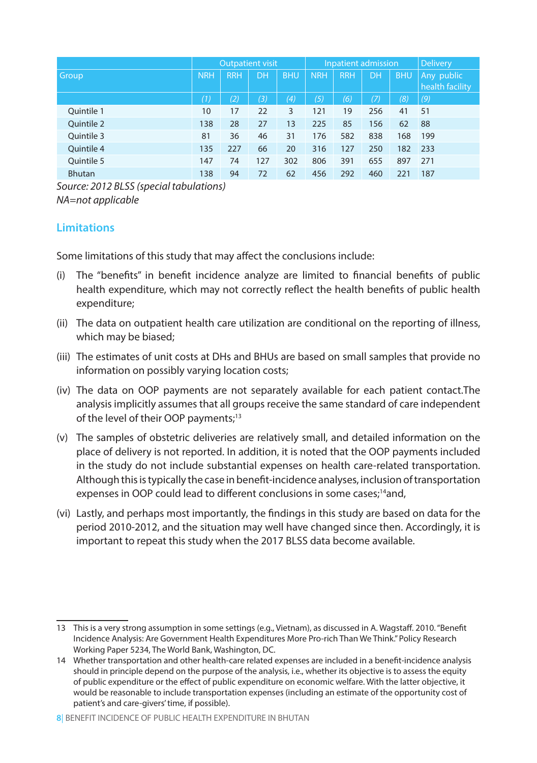|               |            | <b>Outpatient visit</b> |     |                   |            | <b>Inpatient admission</b> | <b>Delivery</b> |            |                               |
|---------------|------------|-------------------------|-----|-------------------|------------|----------------------------|-----------------|------------|-------------------------------|
| <b>Group</b>  | <b>NRH</b> | <b>RRH</b>              | DH  | <b>BHU</b>        | <b>NRH</b> | <b>RRH</b>                 | DH              | <b>BHU</b> | Any public<br>health facility |
|               | (1)        | (2)                     | (3) | $\left( 4\right)$ | (5)        | (6)                        | (7)             | (8)        | (9)                           |
| Ouintile 1    | 10         | 17                      | 22  | 3                 | 121        | 19                         | 256             | 41         | 51                            |
| Quintile 2    | 138        | 28                      | 27  | 13                | 225        | 85                         | 156             | 62         | 88                            |
| Ouintile 3    | 81         | 36                      | 46  | 31                | 176        | 582                        | 838             | 168        | 199                           |
| Quintile 4    | 135        | 227                     | 66  | 20                | 316        | 127                        | 250             | 182        | 233                           |
| Ouintile 5    | 147        | 74                      | 127 | 302               | 806        | 391                        | 655             | 897        | 271                           |
| <b>Bhutan</b> | 138        | 94                      | 72  | 62                | 456        | 292                        | 460             | 221        | 187                           |

*Source: 2012 BLSS (special tabulations) NA=not applicable*

## **Limitations**

Some limitations of this study that may affect the conclusions include:

- (i) The "benefits" in benefit incidence analyze are limited to financial benefits of public health expenditure, which may not correctly reflect the health benefits of public health expenditure;
- (ii) The data on outpatient health care utilization are conditional on the reporting of illness, which may be biased;
- (iii) The estimates of unit costs at DHs and BHUs are based on small samples that provide no information on possibly varying location costs;
- (iv) The data on OOP payments are not separately available for each patient contact.The analysis implicitly assumes that all groups receive the same standard of care independent of the level of their OOP payments;<sup>13</sup>
- (v) The samples of obstetric deliveries are relatively small, and detailed information on the place of delivery is not reported. In addition, it is noted that the OOP payments included in the study do not include substantial expenses on health care-related transportation. Although this is typically the case in benefit-incidence analyses, inclusion of transportation expenses in OOP could lead to different conclusions in some cases;<sup>14</sup>and,
- (vi) Lastly, and perhaps most importantly, the findings in this study are based on data for the period 2010-2012, and the situation may well have changed since then. Accordingly, it is important to repeat this study when the 2017 BLSS data become available.

<sup>13</sup> This is a very strong assumption in some settings (e.g., Vietnam), as discussed in A. Wagstaff. 2010. "Benefit Incidence Analysis: Are Government Health Expenditures More Pro-rich Than We Think." Policy Research Working Paper 5234, The World Bank, Washington, DC.

<sup>14</sup> Whether transportation and other health-care related expenses are included in a benefit-incidence analysis should in principle depend on the purpose of the analysis, i.e., whether its objective is to assess the equity of public expenditure or the effect of public expenditure on economic welfare. With the latter objective, it would be reasonable to include transportation expenses (including an estimate of the opportunity cost of patient's and care-givers' time, if possible).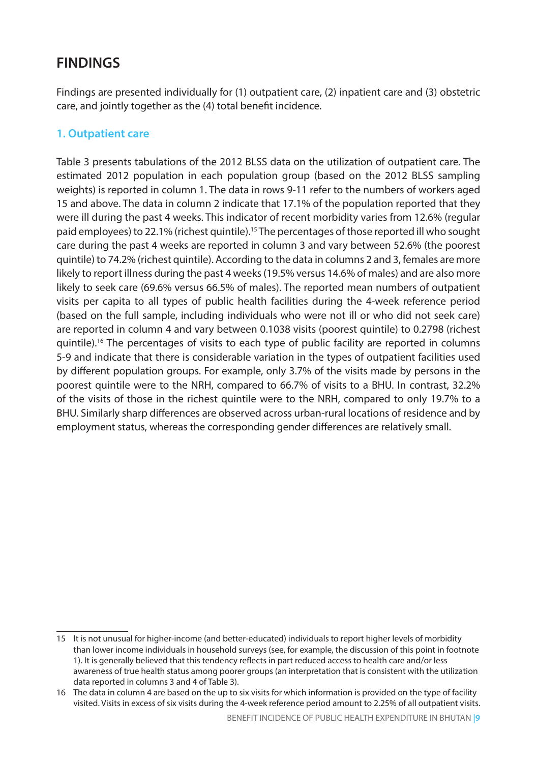## **FINDINGS**

Findings are presented individually for (1) outpatient care, (2) inpatient care and (3) obstetric care, and jointly together as the (4) total benefit incidence.

## **1. Outpatient care**

Table 3 presents tabulations of the 2012 BLSS data on the utilization of outpatient care. The estimated 2012 population in each population group (based on the 2012 BLSS sampling weights) is reported in column 1. The data in rows 9-11 refer to the numbers of workers aged 15 and above. The data in column 2 indicate that 17.1% of the population reported that they were ill during the past 4 weeks. This indicator of recent morbidity varies from 12.6% (regular paid employees) to 22.1% (richest quintile).15 The percentages of those reported ill who sought care during the past 4 weeks are reported in column 3 and vary between 52.6% (the poorest quintile) to 74.2% (richest quintile). According to the data in columns 2 and 3, females are more likely to report illness during the past 4 weeks (19.5% versus 14.6% of males) and are also more likely to seek care (69.6% versus 66.5% of males). The reported mean numbers of outpatient visits per capita to all types of public health facilities during the 4-week reference period (based on the full sample, including individuals who were not ill or who did not seek care) are reported in column 4 and vary between 0.1038 visits (poorest quintile) to 0.2798 (richest quintile).<sup>16</sup> The percentages of visits to each type of public facility are reported in columns 5-9 and indicate that there is considerable variation in the types of outpatient facilities used by different population groups. For example, only 3.7% of the visits made by persons in the poorest quintile were to the NRH, compared to 66.7% of visits to a BHU. In contrast, 32.2% of the visits of those in the richest quintile were to the NRH, compared to only 19.7% to a BHU. Similarly sharp differences are observed across urban-rural locations of residence and by employment status, whereas the corresponding gender differences are relatively small.

<sup>15</sup> It is not unusual for higher-income (and better-educated) individuals to report higher levels of morbidity than lower income individuals in household surveys (see, for example, the discussion of this point in footnote 1). It is generally believed that this tendency reflects in part reduced access to health care and/or less awareness of true health status among poorer groups (an interpretation that is consistent with the utilization data reported in columns 3 and 4 of Table 3).

<sup>16</sup> The data in column 4 are based on the up to six visits for which information is provided on the type of facility visited. Visits in excess of six visits during the 4-week reference period amount to 2.25% of all outpatient visits.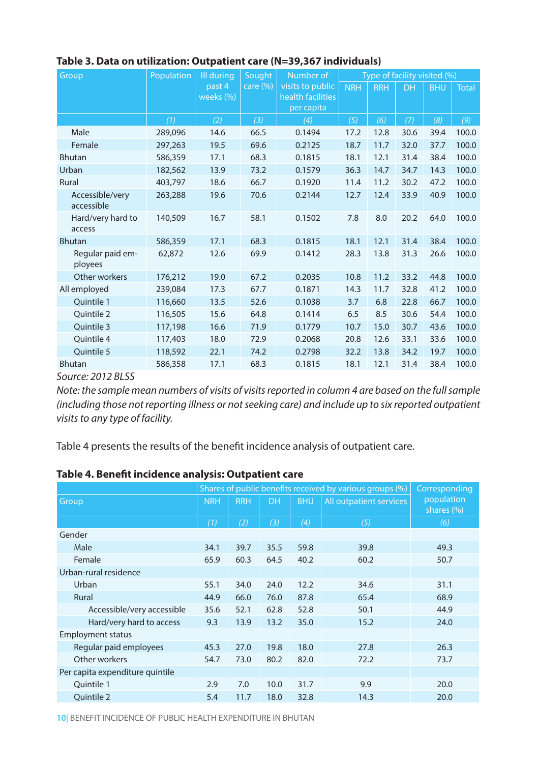| Group                         | Population | Ill during          | Sought       | Number of                                           | Type of facility visited (%) |            |           |            |              |  |
|-------------------------------|------------|---------------------|--------------|-----------------------------------------------------|------------------------------|------------|-----------|------------|--------------|--|
|                               |            | past 4<br>weeks (%) | care $(\% )$ | visits to public<br>health facilities<br>per capita | <b>NRH</b>                   | <b>RRH</b> | <b>DH</b> | <b>BHU</b> | <b>Total</b> |  |
|                               | (1)        | (2)                 | (3)          | (4)                                                 | (5)                          | (6)        | (7)       | (8)        | (9)          |  |
| Male                          | 289,096    | 14.6                | 66.5         | 0.1494                                              | 17.2                         | 12.8       | 30.6      | 39.4       | 100.0        |  |
| Female                        | 297,263    | 19.5                | 69.6         | 0.2125                                              | 18.7                         | 11.7       | 32.0      | 37.7       | 100.0        |  |
| <b>Bhutan</b>                 | 586,359    | 17.1                | 68.3         | 0.1815                                              | 18.1                         | 12.1       | 31.4      | 38.4       | 100.0        |  |
| Urban                         | 182,562    | 13.9                | 73.2         | 0.1579                                              | 36.3                         | 14.7       | 34.7      | 14.3       | 100.0        |  |
| Rural                         | 403,797    | 18.6                | 66.7         | 0.1920                                              | 11.4                         | 11.2       | 30.2      | 47.2       | 100.0        |  |
| Accessible/very<br>accessible | 263,288    | 19.6                | 70.6         | 0.2144                                              | 12.7                         | 12.4       | 33.9      | 40.9       | 100.0        |  |
| Hard/very hard to<br>access   | 140,509    | 16.7                | 58.1         | 0.1502                                              | 7.8                          | 8.0        | 20.2      | 64.0       | 100.0        |  |
| <b>Bhutan</b>                 | 586,359    | 17.1                | 68.3         | 0.1815                                              | 18.1                         | 12.1       | 31.4      | 38.4       | 100.0        |  |
| Regular paid em-<br>ployees   | 62,872     | 12.6                | 69.9         | 0.1412                                              | 28.3                         | 13.8       | 31.3      | 26.6       | 100.0        |  |
| Other workers                 | 176,212    | 19.0                | 67.2         | 0.2035                                              | 10.8                         | 11.2       | 33.2      | 44.8       | 100.0        |  |
| All employed                  | 239,084    | 17.3                | 67.7         | 0.1871                                              | 14.3                         | 11.7       | 32.8      | 41.2       | 100.0        |  |
| Quintile 1                    | 116,660    | 13.5                | 52.6         | 0.1038                                              | 3.7                          | 6.8        | 22.8      | 66.7       | 100.0        |  |
| Ouintile 2                    | 116,505    | 15.6                | 64.8         | 0.1414                                              | 6.5                          | 8.5        | 30.6      | 54.4       | 100.0        |  |
| Ouintile 3                    | 117,198    | 16.6                | 71.9         | 0.1779                                              | 10.7                         | 15.0       | 30.7      | 43.6       | 100.0        |  |
| Ouintile 4                    | 117,403    | 18.0                | 72.9         | 0.2068                                              | 20.8                         | 12.6       | 33.1      | 33.6       | 100.0        |  |
| Quintile 5                    | 118,592    | 22.1                | 74.2         | 0.2798                                              | 32.2                         | 13.8       | 34.2      | 19.7       | 100.0        |  |
| <b>Bhutan</b>                 | 586,358    | 17.1                | 68.3         | 0.1815                                              | 18.1                         | 12.1       | 31.4      | 38.4       | 100.0        |  |

#### **Table 3. Data on utilization: Outpatient care (N=39,367 individuals)**

*Source: 2012 BLSS* 

*Note: the sample mean numbers of visits of visits reported in column 4 are based on the full sample (including those not reporting illness or not seeking care) and include up to six reported outpatient visits to any type of facility.*

Table 4 presents the results of the benefit incidence analysis of outpatient care.

#### **Table 4. Benefit incidence analysis: Outpatient care**

|                                 |            |            |           |            | Shares of public benefits received by various groups (%) | Corresponding                |
|---------------------------------|------------|------------|-----------|------------|----------------------------------------------------------|------------------------------|
| Group                           | <b>NRH</b> | <b>RRH</b> | <b>DH</b> | <b>BHU</b> | All outpatient services                                  | population<br>shares $(\% )$ |
|                                 | (1)        | (2)        | (3)       | (4)        | (5)                                                      | (6)                          |
| Gender                          |            |            |           |            |                                                          |                              |
| Male                            | 34.1       | 39.7       | 35.5      | 59.8       | 39.8                                                     | 49.3                         |
| Female                          | 65.9       | 60.3       | 64.5      | 40.2       | 60.2                                                     | 50.7                         |
| Urban-rural residence           |            |            |           |            |                                                          |                              |
| Urban                           | 55.1       | 34.0       | 24.0      | 12.2       | 34.6                                                     | 31.1                         |
| Rural                           | 44.9       | 66.0       | 76.0      | 87.8       | 65.4                                                     | 68.9                         |
| Accessible/very accessible      | 35.6       | 52.1       | 62.8      | 52.8       | 50.1                                                     | 44.9                         |
| Hard/very hard to access        | 9.3        | 13.9       | 13.2      | 35.0       | 15.2                                                     | 24.0                         |
| <b>Employment status</b>        |            |            |           |            |                                                          |                              |
| Regular paid employees          | 45.3       | 27.0       | 19.8      | 18.0       | 27.8                                                     | 26.3                         |
| Other workers                   | 54.7       | 73.0       | 80.2      | 82.0       | 72.2                                                     | 73.7                         |
| Per capita expenditure quintile |            |            |           |            |                                                          |                              |
| Quintile 1                      | 2.9        | 7.0        | 10.0      | 31.7       | 9.9                                                      | 20.0                         |
| <b>Ouintile 2</b>               | 5.4        | 11.7       | 18.0      | 32.8       | 14.3                                                     | 20.0                         |

**10**| BENEFIT INCIDENCE OF PUBLIC HEALTH EXPENDITURE IN BHUTAN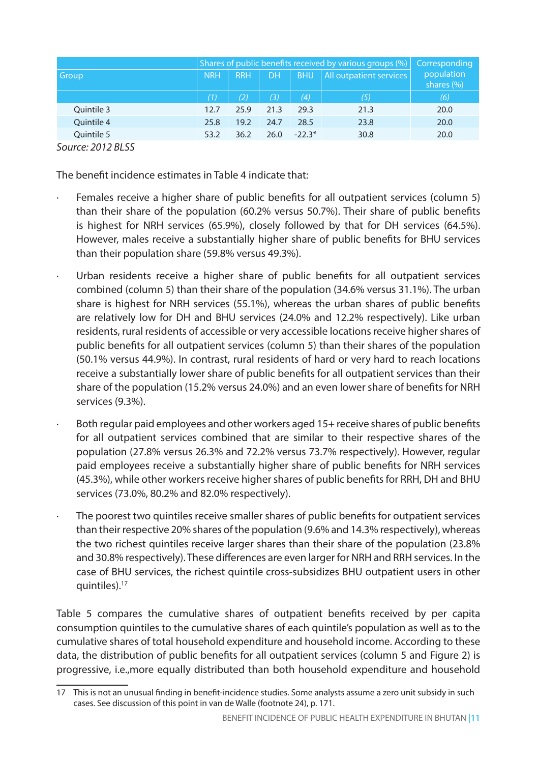|              | Shares of public benefits received by various groups (%) |                   |      |            |                         |                              |  |  |  |  |
|--------------|----------------------------------------------------------|-------------------|------|------------|-------------------------|------------------------------|--|--|--|--|
| <b>Group</b> | <b>NRH</b>                                               | <b>RRH</b>        | DH   | <b>BHU</b> | All outpatient services | population<br>shares $(\% )$ |  |  |  |  |
|              | (1)                                                      | $\left( 2\right)$ | (3)  | (4)        | (5)                     | (6)                          |  |  |  |  |
| Quintile 3   | 12.7                                                     | 25.9              | 21.3 | 29.3       | 21.3                    | 20.0                         |  |  |  |  |
| Quintile 4   | 25.8                                                     | 19.2              | 24.7 | 28.5       | 23.8                    | 20.0                         |  |  |  |  |
| Quintile 5   | 53.2                                                     | 36.2              | 26.0 | $-22.3*$   | 30.8                    | 20.0                         |  |  |  |  |

*Source: 2012 BLSS* 

The benefit incidence estimates in Table 4 indicate that:

- · Females receive a higher share of public benefits for all outpatient services (column 5) than their share of the population (60.2% versus 50.7%). Their share of public benefits is highest for NRH services (65.9%), closely followed by that for DH services (64.5%). However, males receive a substantially higher share of public benefits for BHU services than their population share (59.8% versus 49.3%).
- Urban residents receive a higher share of public benefits for all outpatient services combined (column 5) than their share of the population (34.6% versus 31.1%). The urban share is highest for NRH services (55.1%), whereas the urban shares of public benefits are relatively low for DH and BHU services (24.0% and 12.2% respectively). Like urban residents, rural residents of accessible or very accessible locations receive higher shares of public benefits for all outpatient services (column 5) than their shares of the population (50.1% versus 44.9%). In contrast, rural residents of hard or very hard to reach locations receive a substantially lower share of public benefits for all outpatient services than their share of the population (15.2% versus 24.0%) and an even lower share of benefits for NRH services (9.3%).
- Both regular paid employees and other workers aged 15+ receive shares of public benefits for all outpatient services combined that are similar to their respective shares of the population (27.8% versus 26.3% and 72.2% versus 73.7% respectively). However, regular paid employees receive a substantially higher share of public benefits for NRH services (45.3%), while other workers receive higher shares of public benefits for RRH, DH and BHU services (73.0%, 80.2% and 82.0% respectively).
- The poorest two quintiles receive smaller shares of public benefits for outpatient services than their respective 20% shares of the population (9.6% and 14.3% respectively), whereas the two richest quintiles receive larger shares than their share of the population (23.8% and 30.8% respectively). These differences are even larger for NRH and RRH services. In the case of BHU services, the richest quintile cross-subsidizes BHU outpatient users in other quintiles).17

Table 5 compares the cumulative shares of outpatient benefits received by per capita consumption quintiles to the cumulative shares of each quintile's population as well as to the cumulative shares of total household expenditure and household income. According to these data, the distribution of public benefits for all outpatient services (column 5 and Figure 2) is progressive, i.e.,more equally distributed than both household expenditure and household

<sup>17</sup> This is not an unusual finding in benefit-incidence studies. Some analysts assume a zero unit subsidy in such cases. See discussion of this point in van de Walle (footnote 24), p. 171.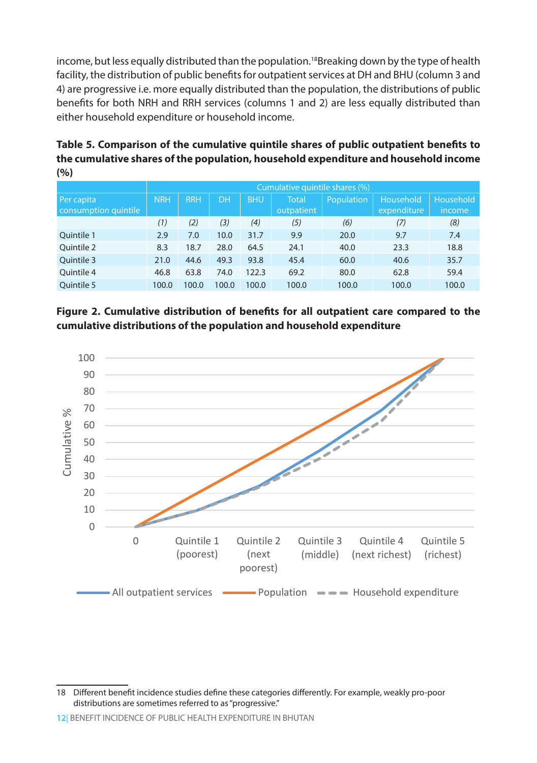income, but less equally distributed than the population.<sup>18</sup>Breaking down by the type of health facility, the distribution of public benefits for outpatient services at DH and BHU (column 3 and 4) are progressive i.e. more equally distributed than the population, the distributions of public benefits for both NRH and RRH services (columns 1 and 2) are less equally distributed than either household expenditure or household income.

**Table 5. Comparison of the cumulative quintile shares of public outpatient benefits to the cumulative shares of the population, household expenditure and household income (%)**

|                                    |            | Cumulative quintile shares (%) |       |            |                            |            |                          |                            |  |  |  |  |  |
|------------------------------------|------------|--------------------------------|-------|------------|----------------------------|------------|--------------------------|----------------------------|--|--|--|--|--|
| Per capita<br>consumption quintile | <b>NRH</b> | <b>RRH</b>                     | DH    | <b>BHU</b> | <b>Total</b><br>outpatient | Population | Household<br>expenditure | Household<br><i>income</i> |  |  |  |  |  |
|                                    |            |                                |       |            |                            |            |                          |                            |  |  |  |  |  |
|                                    | (1)        | (2)                            | (3)   | (4)        | (5)                        | (6)        | (7)                      | (8)                        |  |  |  |  |  |
| Quintile 1                         | 2.9        | 7.0                            | 10.0  | 31.7       | 9.9                        | 20.0       | 9.7                      | 7.4                        |  |  |  |  |  |
| Ouintile 2                         | 8.3        | 18.7                           | 28.0  | 64.5       | 24.1                       | 40.0       | 23.3                     | 18.8                       |  |  |  |  |  |
| Quintile 3                         | 21.0       | 44.6                           | 49.3  | 93.8       | 45.4                       | 60.0       | 40.6                     | 35.7                       |  |  |  |  |  |
| Quintile 4                         | 46.8       | 63.8                           | 74.0  | 122.3      | 69.2                       | 80.0       | 62.8                     | 59.4                       |  |  |  |  |  |
| Ouintile 5                         | 100.0      | 100.0                          | 100.0 | 100.0      | 100.0                      | 100.0      | 100.0                    | 100.0                      |  |  |  |  |  |





<sup>18</sup> Different benefit incidence studies define these categories differently. For example, weakly pro-poor distributions are sometimes referred to as "progressive."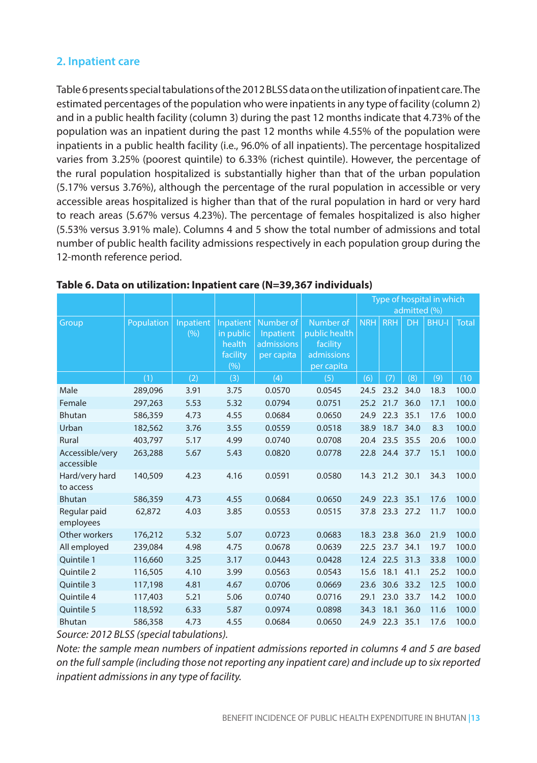### **2. Inpatient care**

Table 6 presents special tabulations of the 2012 BLSS data on the utilization of inpatient care. The estimated percentages of the population who were inpatients in any type of facility (column 2) and in a public health facility (column 3) during the past 12 months indicate that 4.73% of the population was an inpatient during the past 12 months while 4.55% of the population were inpatients in a public health facility (i.e., 96.0% of all inpatients). The percentage hospitalized varies from 3.25% (poorest quintile) to 6.33% (richest quintile). However, the percentage of the rural population hospitalized is substantially higher than that of the urban population (5.17% versus 3.76%), although the percentage of the rural population in accessible or very accessible areas hospitalized is higher than that of the rural population in hard or very hard to reach areas (5.67% versus 4.23%). The percentage of females hospitalized is also higher (5.53% versus 3.91% male). Columns 4 and 5 show the total number of admissions and total number of public health facility admissions respectively in each population group during the 12-month reference period.

|                               |                                                                               |                  |                  |            |               | Type of hospital in which |            |              |       |              |
|-------------------------------|-------------------------------------------------------------------------------|------------------|------------------|------------|---------------|---------------------------|------------|--------------|-------|--------------|
|                               |                                                                               |                  |                  |            |               |                           |            | admitted (%) |       |              |
| Group                         | Population                                                                    | <b>Inpatient</b> | <b>Inpatient</b> | Number of  | Number of     | <b>NRH</b>                | <b>RRH</b> | <b>DH</b>    | BHU-I | <b>Total</b> |
|                               |                                                                               | (9)              | in public        | Inpatient  | public health |                           |            |              |       |              |
|                               |                                                                               |                  | health           | admissions | facility      |                           |            |              |       |              |
|                               |                                                                               |                  | facility         | per capita | admissions    |                           |            |              |       |              |
|                               |                                                                               |                  | (%)              |            | per capita    |                           |            |              |       |              |
|                               | (1)                                                                           | (2)              | (3)              | (4)        | (5)           | (6)                       | (7)        | (8)          | (9)   | (10)         |
| Male                          | 289,096                                                                       | 3.91             | 3.75             | 0.0570     | 0.0545        | 24.5                      |            | 23.2 34.0    | 18.3  | 100.0        |
| Female                        | 297,263                                                                       | 5.53             | 5.32             | 0.0794     | 0.0751        | 25.2                      | 21.7       | 36.0         | 17.1  | 100.0        |
| <b>Bhutan</b>                 | 586,359                                                                       | 4.73             | 4.55             | 0.0684     | 0.0650        | 24.9                      | 22.3       | 35.1         | 17.6  | 100.0        |
| Urban                         | 182,562                                                                       | 3.76             | 3.55             | 0.0559     | 0.0518        | 38.9                      | 18.7       | 34.0         | 8.3   | 100.0        |
| Rural                         | 403,797                                                                       | 5.17             | 4.99             | 0.0740     | 0.0708        | 20.4                      | 23.5       | 35.5         | 20.6  | 100.0        |
| Accessible/very<br>accessible | 263,288                                                                       | 5.67             | 5.43             | 0.0820     | 0.0778        | 22.8                      | 24.4 37.7  |              | 15.1  | 100.0        |
| Hard/very hard<br>to access   | 140,509                                                                       | 4.23             | 4.16             | 0.0591     | 0.0580        | 14.3                      | 21.2 30.1  |              | 34.3  | 100.0        |
| <b>Bhutan</b>                 | 586,359                                                                       | 4.73             | 4.55             | 0.0684     | 0.0650        | 24.9                      | 22.3       | 35.1         | 17.6  | 100.0        |
| Regular paid<br>employees     | 62,872                                                                        | 4.03             | 3.85             | 0.0553     | 0.0515        | 37.8                      | 23.3       | 27.2         | 11.7  | 100.0        |
| Other workers                 | 176,212                                                                       | 5.32             | 5.07             | 0.0723     | 0.0683        | 18.3                      | 23.8       | 36.0         | 21.9  | 100.0        |
| All employed                  | 239,084                                                                       | 4.98             | 4.75             | 0.0678     | 0.0639        | 22.5                      | 23.7       | 34.1         | 19.7  | 100.0        |
| Quintile 1                    | 116,660                                                                       | 3.25             | 3.17             | 0.0443     | 0.0428        | 12.4                      | 22.5       | 31.3         | 33.8  | 100.0        |
| Ouintile 2                    | 116,505                                                                       | 4.10             | 3.99             | 0.0563     | 0.0543        | 15.6                      | 18.1       | 41.1         | 25.2  | 100.0        |
| Ouintile 3                    | 117,198                                                                       | 4.81             | 4.67             | 0.0706     | 0.0669        | 23.6                      | 30.6       | 33.2         | 12.5  | 100.0        |
| Ouintile 4                    | 117,403                                                                       | 5.21             | 5.06             | 0.0740     | 0.0716        | 29.1                      | 23.0       | 33.7         | 14.2  | 100.0        |
| Quintile 5                    | 118,592                                                                       | 6.33             | 5.87             | 0.0974     | 0.0898        | 34.3                      | 18.1       | 36.0         | 11.6  | 100.0        |
| <b>Bhutan</b>                 | 586,358                                                                       | 4.73             | 4.55             | 0.0684     | 0.0650        | 24.9                      | 22.3       | 35.1         | 17.6  | 100.0        |
|                               | $2012 D1 C C \left( \text{arc odd} + \text{arc odd} + \text{arc odd} \right)$ |                  |                  |            |               |                           |            |              |       |              |

#### **Table 6. Data on utilization: Inpatient care (N=39,367 individuals)**

*Source: 2012 BLSS (special tabulations).*

*Note: the sample mean numbers of inpatient admissions reported in columns 4 and 5 are based on the full sample (including those not reporting any inpatient care) and include up to six reported inpatient admissions in any type of facility.*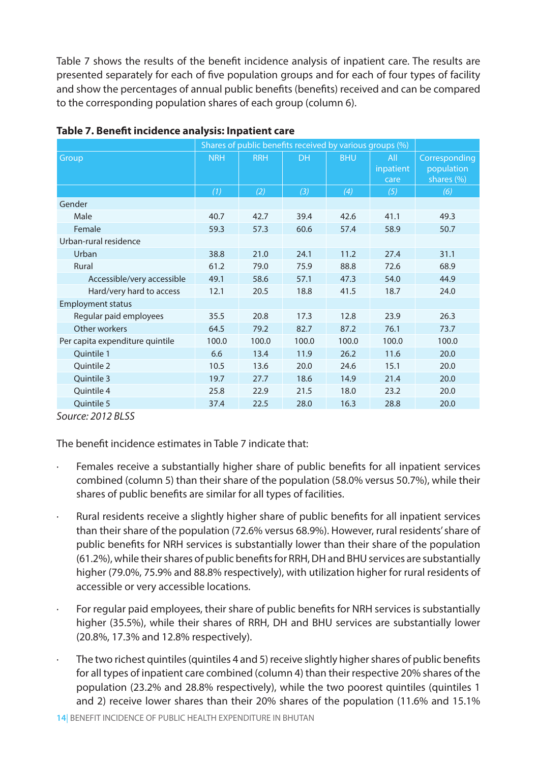Table 7 shows the results of the benefit incidence analysis of inpatient care. The results are presented separately for each of five population groups and for each of four types of facility and show the percentages of annual public benefits (benefits) received and can be compared to the corresponding population shares of each group (column 6).

|                                 |            |            | Shares of public benefits received by various groups (%) |            |                          |                                           |
|---------------------------------|------------|------------|----------------------------------------------------------|------------|--------------------------|-------------------------------------------|
| Group                           | <b>NRH</b> | <b>RRH</b> | <b>DH</b>                                                | <b>BHU</b> | All<br>inpatient<br>care | Corresponding<br>population<br>shares (%) |
|                                 | (1)        | (2)        | $(3)$                                                    | (4)        | (5)                      | (6)                                       |
| Gender                          |            |            |                                                          |            |                          |                                           |
| Male                            | 40.7       | 42.7       | 39.4                                                     | 42.6       | 41.1                     | 49.3                                      |
| Female                          | 59.3       | 57.3       | 60.6                                                     | 57.4       | 58.9                     | 50.7                                      |
| Urban-rural residence           |            |            |                                                          |            |                          |                                           |
| Urban                           | 38.8       | 21.0       | 24.1                                                     | 11.2       | 27.4                     | 31.1                                      |
| Rural                           | 61.2       | 79.0       | 75.9                                                     | 88.8       | 72.6                     | 68.9                                      |
| Accessible/very accessible      | 49.1       | 58.6       | 57.1                                                     | 47.3       | 54.0                     | 44.9                                      |
| Hard/very hard to access        | 12.1       | 20.5       | 18.8                                                     | 41.5       | 18.7                     | 24.0                                      |
| <b>Employment status</b>        |            |            |                                                          |            |                          |                                           |
| Regular paid employees          | 35.5       | 20.8       | 17.3                                                     | 12.8       | 23.9                     | 26.3                                      |
| Other workers                   | 64.5       | 79.2       | 82.7                                                     | 87.2       | 76.1                     | 73.7                                      |
| Per capita expenditure quintile | 100.0      | 100.0      | 100.0                                                    | 100.0      | 100.0                    | 100.0                                     |
| Quintile 1                      | 6.6        | 13.4       | 11.9                                                     | 26.2       | 11.6                     | 20.0                                      |
| Quintile 2                      | 10.5       | 13.6       | 20.0                                                     | 24.6       | 15.1                     | 20.0                                      |
| Quintile 3                      | 19.7       | 27.7       | 18.6                                                     | 14.9       | 21.4                     | 20.0                                      |
| Quintile 4                      | 25.8       | 22.9       | 21.5                                                     | 18.0       | 23.2                     | 20.0                                      |
| Quintile 5                      | 37.4       | 22.5       | 28.0                                                     | 16.3       | 28.8                     | 20.0                                      |

#### **Table 7. Benefit incidence analysis: Inpatient care**

*Source: 2012 BLSS* 

The benefit incidence estimates in Table 7 indicate that:

- Females receive a substantially higher share of public benefits for all inpatient services combined (column 5) than their share of the population (58.0% versus 50.7%), while their shares of public benefits are similar for all types of facilities.
- · Rural residents receive a slightly higher share of public benefits for all inpatient services than their share of the population (72.6% versus 68.9%). However, rural residents' share of public benefits for NRH services is substantially lower than their share of the population (61.2%), while their shares of public benefits for RRH, DH and BHU services are substantially higher (79.0%, 75.9% and 88.8% respectively), with utilization higher for rural residents of accessible or very accessible locations.
- For regular paid employees, their share of public benefits for NRH services is substantially higher (35.5%), while their shares of RRH, DH and BHU services are substantially lower (20.8%, 17.3% and 12.8% respectively).
- · The two richest quintiles (quintiles 4 and 5) receive slightly higher shares of public benefits for all types of inpatient care combined (column 4) than their respective 20% shares of the population (23.2% and 28.8% respectively), while the two poorest quintiles (quintiles 1 and 2) receive lower shares than their 20% shares of the population (11.6% and 15.1%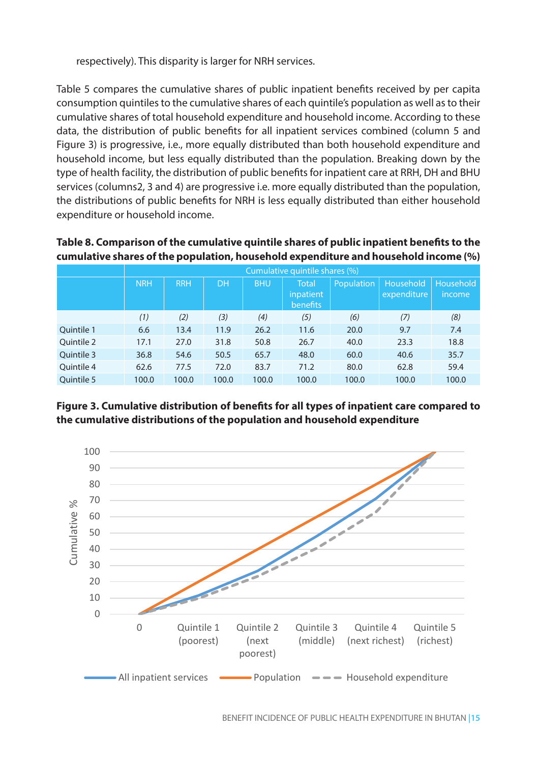respectively). This disparity is larger for NRH services.

Table 5 compares the cumulative shares of public inpatient benefits received by per capita consumption quintiles to the cumulative shares of each quintile's population as well as to their cumulative shares of total household expenditure and household income. According to these data, the distribution of public benefits for all inpatient services combined (column 5 and Figure 3) is progressive, i.e., more equally distributed than both household expenditure and household income, but less equally distributed than the population. Breaking down by the type of health facility, the distribution of public benefits for inpatient care at RRH, DH and BHU services (columns2, 3 and 4) are progressive i.e. more equally distributed than the population, the distributions of public benefits for NRH is less equally distributed than either household expenditure or household income.

#### **Table 8. Comparison of the cumulative quintile shares of public inpatient benefits to the cumulative shares of the population, household expenditure and household income (%)**

|            |            |            |           |            | Cumulative quintile shares (%)               |            |                          |                            |
|------------|------------|------------|-----------|------------|----------------------------------------------|------------|--------------------------|----------------------------|
|            | <b>NRH</b> | <b>RRH</b> | <b>DH</b> | <b>BHU</b> | <b>Total</b><br>inpatient<br><b>benefits</b> | Population | Household<br>expenditure | Household<br><i>income</i> |
|            | (1)        | (2)        | (3)       | (4)        | (5)                                          | (6)        | (7)                      | (8)                        |
| Ouintile 1 | 6.6        | 13.4       | 11.9      | 26.2       | 11.6                                         | 20.0       | 9.7                      | 7.4                        |
| Quintile 2 | 17.1       | 27.0       | 31.8      | 50.8       | 26.7                                         | 40.0       | 23.3                     | 18.8                       |
| Ouintile 3 | 36.8       | 54.6       | 50.5      | 65.7       | 48.0                                         | 60.0       | 40.6                     | 35.7                       |
| Ouintile 4 | 62.6       | 77.5       | 72.0      | 83.7       | 71.2                                         | 80.0       | 62.8                     | 59.4                       |
| Ouintile 5 | 100.0      | 100.0      | 100.0     | 100.0      | 100.0                                        | 100.0      | 100.0                    | 100.0                      |

**Figure 3. Cumulative distribution of benefits for all types of inpatient care compared to the cumulative distributions of the population and household expenditure**

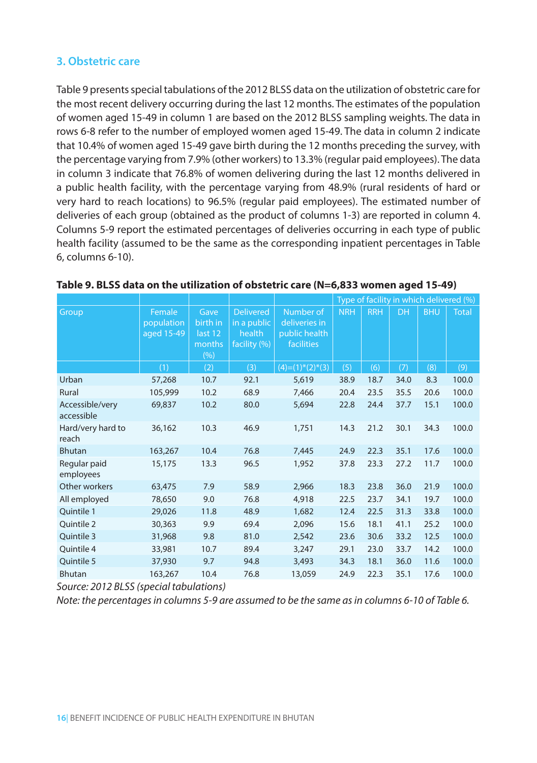### **3. Obstetric care**

Table 9 presents special tabulations of the 2012 BLSS data on the utilization of obstetric care for the most recent delivery occurring during the last 12 months. The estimates of the population of women aged 15-49 in column 1 are based on the 2012 BLSS sampling weights. The data in rows 6-8 refer to the number of employed women aged 15-49. The data in column 2 indicate that 10.4% of women aged 15-49 gave birth during the 12 months preceding the survey, with the percentage varying from 7.9% (other workers) to 13.3% (regular paid employees). The data in column 3 indicate that 76.8% of women delivering during the last 12 months delivered in a public health facility, with the percentage varying from 48.9% (rural residents of hard or very hard to reach locations) to 96.5% (regular paid employees). The estimated number of deliveries of each group (obtained as the product of columns 1-3) are reported in column 4. Columns 5-9 report the estimated percentages of deliveries occurring in each type of public health facility (assumed to be the same as the corresponding inpatient percentages in Table 6, columns 6-10).

|                               |                                    |                                              |                                                           |                                                           | Type of facility in which delivered (%) |            |           |            |              |
|-------------------------------|------------------------------------|----------------------------------------------|-----------------------------------------------------------|-----------------------------------------------------------|-----------------------------------------|------------|-----------|------------|--------------|
| Group                         | Female<br>population<br>aged 15-49 | Gave<br>birth in<br>last 12<br>months<br>(%) | <b>Delivered</b><br>in a public<br>health<br>facility (%) | Number of<br>deliveries in<br>public health<br>facilities | <b>NRH</b>                              | <b>RRH</b> | <b>DH</b> | <b>BHU</b> | <b>Total</b> |
|                               | (1)                                | (2)                                          | (3)                                                       | $(4)=(1)^*(2)^*(3)$                                       | (5)                                     | (6)        | (7)       | (8)        | (9)          |
| Urban                         | 57,268                             | 10.7                                         | 92.1                                                      | 5,619                                                     | 38.9                                    | 18.7       | 34.0      | 8.3        | 100.0        |
| Rural                         | 105,999                            | 10.2                                         | 68.9                                                      | 7,466                                                     | 20.4                                    | 23.5       | 35.5      | 20.6       | 100.0        |
| Accessible/very<br>accessible | 69,837                             | 10.2                                         | 80.0                                                      | 5,694                                                     | 22.8                                    | 24.4       | 37.7      | 15.1       | 100.0        |
| Hard/very hard to<br>reach    | 36,162                             | 10.3                                         | 46.9                                                      | 1,751                                                     | 14.3                                    | 21.2       | 30.1      | 34.3       | 100.0        |
| <b>Bhutan</b>                 | 163,267                            | 10.4                                         | 76.8                                                      | 7,445                                                     | 24.9                                    | 22.3       | 35.1      | 17.6       | 100.0        |
| Regular paid<br>employees     | 15,175                             | 13.3                                         | 96.5                                                      | 1,952                                                     | 37.8                                    | 23.3       | 27.2      | 11.7       | 100.0        |
| Other workers                 | 63,475                             | 7.9                                          | 58.9                                                      | 2.966                                                     | 18.3                                    | 23.8       | 36.0      | 21.9       | 100.0        |
| All employed                  | 78,650                             | 9.0                                          | 76.8                                                      | 4,918                                                     | 22.5                                    | 23.7       | 34.1      | 19.7       | 100.0        |
| Quintile 1                    | 29,026                             | 11.8                                         | 48.9                                                      | 1,682                                                     | 12.4                                    | 22.5       | 31.3      | 33.8       | 100.0        |
| Quintile 2                    | 30,363                             | 9.9                                          | 69.4                                                      | 2,096                                                     | 15.6                                    | 18.1       | 41.1      | 25.2       | 100.0        |
| Quintile 3                    | 31,968                             | 9.8                                          | 81.0                                                      | 2,542                                                     | 23.6                                    | 30.6       | 33.2      | 12.5       | 100.0        |
| Ouintile 4                    | 33,981                             | 10.7                                         | 89.4                                                      | 3,247                                                     | 29.1                                    | 23.0       | 33.7      | 14.2       | 100.0        |
| Quintile 5                    | 37,930                             | 9.7                                          | 94.8                                                      | 3,493                                                     | 34.3                                    | 18.1       | 36.0      | 11.6       | 100.0        |
| <b>Bhutan</b>                 | 163,267                            | 10.4                                         | 76.8                                                      | 13,059                                                    | 24.9                                    | 22.3       | 35.1      | 17.6       | 100.0        |

#### **Table 9. BLSS data on the utilization of obstetric care (N=6,833 women aged 15-49)**

*Source: 2012 BLSS (special tabulations)*

*Note: the percentages in columns 5-9 are assumed to be the same as in columns 6-10 of Table 6.*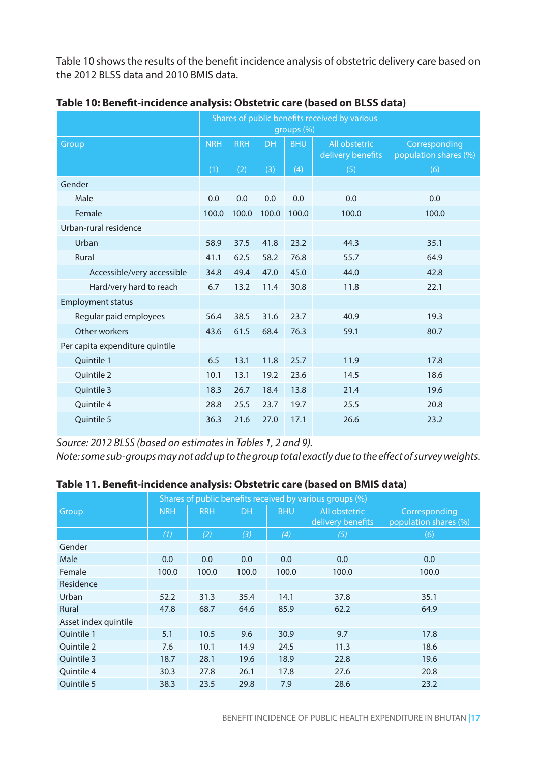Table 10 shows the results of the benefit incidence analysis of obstetric delivery care based on the 2012 BLSS data and 2010 BMIS data.

|                                 |            |            | groups (%) | Shares of public benefits received by various |                                    |                                        |
|---------------------------------|------------|------------|------------|-----------------------------------------------|------------------------------------|----------------------------------------|
| Group                           | <b>NRH</b> | <b>RRH</b> | <b>DH</b>  | <b>BHU</b>                                    | All obstetric<br>delivery benefits | Corresponding<br>population shares (%) |
|                                 | (1)        | (2)        | (3)        | (4)                                           | (5)                                | (6)                                    |
| Gender                          |            |            |            |                                               |                                    |                                        |
| Male                            | 0.0        | 0.0        | 0.0        | 0.0                                           | 0.0                                | 0.0                                    |
| Female                          | 100.0      | 100.0      | 100.0      | 100.0                                         | 100.0                              | 100.0                                  |
| Urban-rural residence           |            |            |            |                                               |                                    |                                        |
| Urban                           | 58.9       | 37.5       | 41.8       | 23.2                                          | 44.3                               | 35.1                                   |
| Rural                           | 41.1       | 62.5       | 58.2       | 76.8                                          | 55.7                               | 64.9                                   |
| Accessible/very accessible      | 34.8       | 49.4       | 47.0       | 45.0                                          | 44.0                               | 42.8                                   |
| Hard/very hard to reach         | 6.7        | 13.2       | 11.4       | 30.8                                          | 11.8                               | 22.1                                   |
| <b>Employment status</b>        |            |            |            |                                               |                                    |                                        |
| Regular paid employees          | 56.4       | 38.5       | 31.6       | 23.7                                          | 40.9                               | 19.3                                   |
| Other workers                   | 43.6       | 61.5       | 68.4       | 76.3                                          | 59.1                               | 80.7                                   |
| Per capita expenditure quintile |            |            |            |                                               |                                    |                                        |
| Ouintile 1                      | 6.5        | 13.1       | 11.8       | 25.7                                          | 11.9                               | 17.8                                   |
| Ouintile 2                      | 10.1       | 13.1       | 19.2       | 23.6                                          | 14.5                               | 18.6                                   |
| Ouintile 3                      | 18.3       | 26.7       | 18.4       | 13.8                                          | 21.4                               | 19.6                                   |
| Ouintile 4                      | 28.8       | 25.5       | 23.7       | 19.7                                          | 25.5                               | 20.8                                   |
| <b>Ouintile 5</b>               | 36.3       | 21.6       | 27.0       | 17.1                                          | 26.6                               | 23.2                                   |

**Table 10: Benefit-incidence analysis: Obstetric care (based on BLSS data)**

*Source: 2012 BLSS (based on estimates in Tables 1, 2 and 9).*

*Note: some sub-groups may not add up to the group total exactly due to the effect of survey weights.*

|                      |            |            |           | Shares of public benefits received by various groups (%) |                                    |                                        |
|----------------------|------------|------------|-----------|----------------------------------------------------------|------------------------------------|----------------------------------------|
| Group                | <b>NRH</b> | <b>RRH</b> | <b>DH</b> | <b>BHU</b>                                               | All obstetric<br>delivery benefits | Corresponding<br>population shares (%) |
|                      | (1)        | (2)        | (3)       | (4)                                                      | (5)                                | (6)                                    |
| Gender               |            |            |           |                                                          |                                    |                                        |
| Male                 | 0.0        | 0.0        | 0.0       | 0.0                                                      | 0.0                                | 0.0                                    |
| Female               | 100.0      | 100.0      | 100.0     | 100.0                                                    | 100.0                              | 100.0                                  |
| Residence            |            |            |           |                                                          |                                    |                                        |
| Urban                | 52.2       | 31.3       | 35.4      | 14.1                                                     | 37.8                               | 35.1                                   |
| Rural                | 47.8       | 68.7       | 64.6      | 85.9                                                     | 62.2                               | 64.9                                   |
| Asset index quintile |            |            |           |                                                          |                                    |                                        |
| Ouintile 1           | 5.1        | 10.5       | 9.6       | 30.9                                                     | 9.7                                | 17.8                                   |
| Ouintile 2           | 7.6        | 10.1       | 14.9      | 24.5                                                     | 11.3                               | 18.6                                   |
| Ouintile 3           | 18.7       | 28.1       | 19.6      | 18.9                                                     | 22.8                               | 19.6                                   |
| Ouintile 4           | 30.3       | 27.8       | 26.1      | 17.8                                                     | 27.6                               | 20.8                                   |
| Ouintile 5           | 38.3       | 23.5       | 29.8      | 7.9                                                      | 28.6                               | 23.2                                   |

**Table 11. Benefit-incidence analysis: Obstetric care (based on BMIS data)**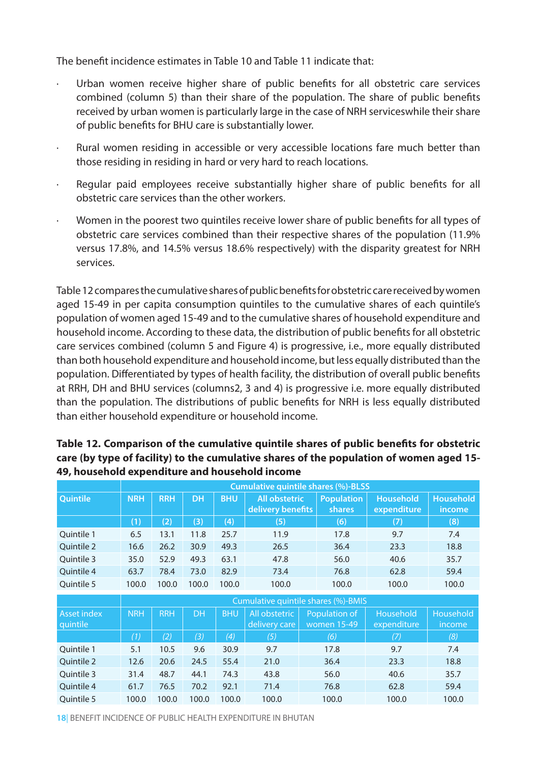The benefit incidence estimates in Table 10 and Table 11 indicate that:

- Urban women receive higher share of public benefits for all obstetric care services combined (column 5) than their share of the population. The share of public benefits received by urban women is particularly large in the case of NRH serviceswhile their share of public benefits for BHU care is substantially lower.
- Rural women residing in accessible or very accessible locations fare much better than those residing in residing in hard or very hard to reach locations.
- Regular paid employees receive substantially higher share of public benefits for all obstetric care services than the other workers.
- Women in the poorest two quintiles receive lower share of public benefits for all types of obstetric care services combined than their respective shares of the population (11.9% versus 17.8%, and 14.5% versus 18.6% respectively) with the disparity greatest for NRH services.

Table 12 compares the cumulative shares of public benefits for obstetric care received by women aged 15-49 in per capita consumption quintiles to the cumulative shares of each quintile's population of women aged 15-49 and to the cumulative shares of household expenditure and household income. According to these data, the distribution of public benefits for all obstetric care services combined (column 5 and Figure 4) is progressive, i.e., more equally distributed than both household expenditure and household income, but less equally distributed than the population. Differentiated by types of health facility, the distribution of overall public benefits at RRH, DH and BHU services (columns2, 3 and 4) is progressive i.e. more equally distributed than the population. The distributions of public benefits for NRH is less equally distributed than either household expenditure or household income.

| Quintile                | <b>NRH</b>                          | <b>RRH</b> | <b>DH</b> | <b>BHU</b> | <b>All obstetric</b><br>delivery benefits |  | <b>Population</b><br><b>shares</b> | <b>Household</b><br>expenditure | <b>Household</b><br>income |  |
|-------------------------|-------------------------------------|------------|-----------|------------|-------------------------------------------|--|------------------------------------|---------------------------------|----------------------------|--|
|                         | (1)                                 | (2)        | (3)       | (4)        | (5)                                       |  | (6)                                | (7)                             | (8)                        |  |
| Ouintile 1              | 6.5                                 | 13.1       | 11.8      | 25.7       | 11.9                                      |  | 17.8                               | 9.7                             | 7.4                        |  |
| Quintile 2              | 16.6                                | 26.2       | 30.9      | 49.3       | 26.5                                      |  | 36.4                               | 23.3                            | 18.8                       |  |
| Ouintile 3              | 35.0                                | 52.9       | 49.3      | 63.1       | 47.8                                      |  | 56.0                               | 40.6                            | 35.7                       |  |
| Ouintile 4              | 63.7                                | 78.4       | 73.0      | 82.9       | 73.4                                      |  | 76.8                               | 62.8                            | 59.4                       |  |
| Quintile 5              | 100.0                               | 100.0      | 100.0     | 100.0      | 100.0                                     |  | 100.0                              | 100.0                           | 100.0                      |  |
|                         | Cumulative quintile shares (%)-BMIS |            |           |            |                                           |  |                                    |                                 |                            |  |
| Asset index<br>quintile | <b>NRH</b>                          | <b>RRH</b> | <b>DH</b> | <b>BHU</b> | All obstetric<br>delivery care            |  | Population of<br>women 15-49       | <b>Household</b><br>expenditure | <b>Household</b><br>income |  |
|                         | (1)                                 | (2)        | (3)       | (4)        | (5)                                       |  | (6)                                | (7)                             | (8)                        |  |
| Quintile 1              | 5.1                                 | 10.5       | 9.6       | 30.9       | 9.7                                       |  | 17.8                               | 9.7                             | 7.4                        |  |
| <b>Ouintile 2</b>       | 12.6                                | 20.6       | 24.5      | 55.4       | 21.0                                      |  | 36.4                               | 23.3                            | 18.8                       |  |
| Ouintile 3              | 31.4                                | 48.7       | 44.1      | 74.3       | 43.8                                      |  | 56.0                               | 40.6                            | 35.7                       |  |
| Ouintile 4              | 61.7                                | 76.5       | 70.2      | 92.1       | 71.4                                      |  | 76.8                               | 62.8                            | 59.4                       |  |
| Ouintile 5              | 100.0                               | 100.0      | 100.0     | 100.0      | 100.0                                     |  | 100.0                              | 100.0                           | 100.0                      |  |

### **Table 12. Comparison of the cumulative quintile shares of public benefits for obstetric care (by type of facility) to the cumulative shares of the population of women aged 15- 49, household expenditure and household income**

**Cumulative quintile shares (%)-BLSS**

**18**| BENEFIT INCIDENCE OF PUBLIC HEALTH EXPENDITURE IN BHUTAN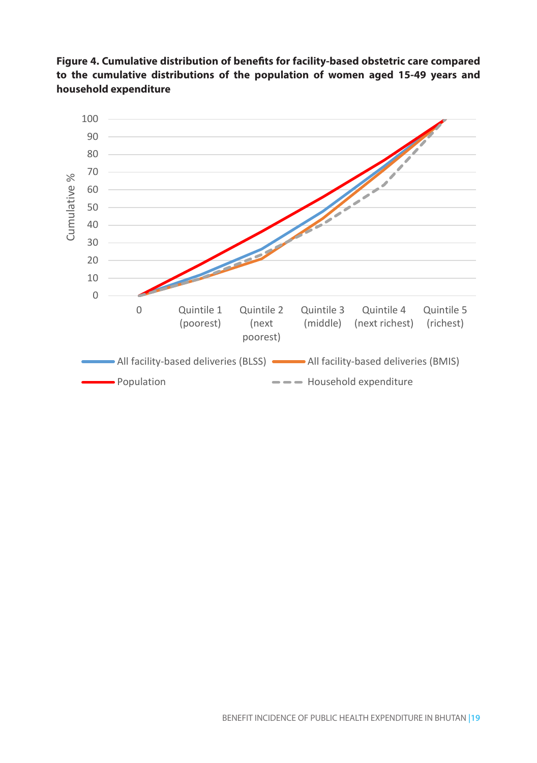

**Figure 4. Cumulative distribution of benefits for facility-based obstetric care compared** 

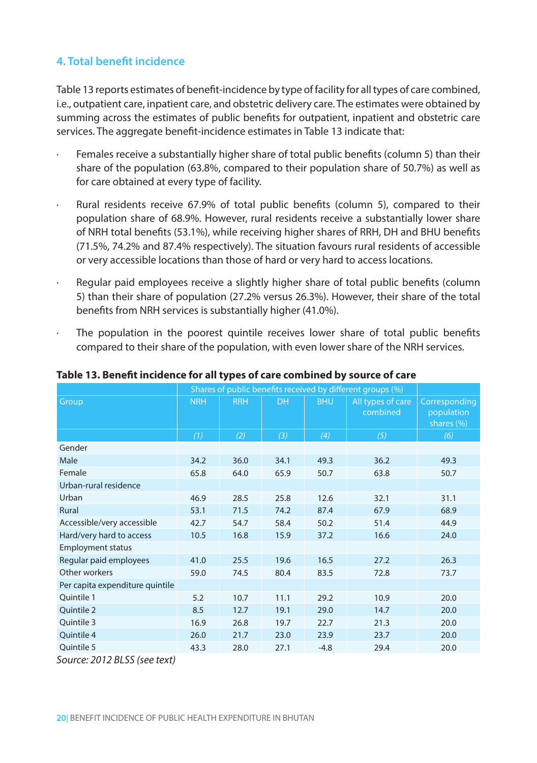### **4. Total benefit incidence**

Table 13 reports estimates of benefit-incidence by type of facility for all types of care combined, i.e., outpatient care, inpatient care, and obstetric delivery care. The estimates were obtained by summing across the estimates of public benefits for outpatient, inpatient and obstetric care services. The aggregate benefit-incidence estimates in Table 13 indicate that:

- Females receive a substantially higher share of total public benefits (column 5) than their share of the population (63.8%, compared to their population share of 50.7%) as well as for care obtained at every type of facility.
- Rural residents receive 67.9% of total public benefits (column 5), compared to their population share of 68.9%. However, rural residents receive a substantially lower share of NRH total benefits (53.1%), while receiving higher shares of RRH, DH and BHU benefits (71.5%, 74.2% and 87.4% respectively). The situation favours rural residents of accessible or very accessible locations than those of hard or very hard to access locations.
- Regular paid employees receive a slightly higher share of total public benefits (column 5) than their share of population (27.2% versus 26.3%). However, their share of the total benefits from NRH services is substantially higher (41.0%).
- The population in the poorest quintile receives lower share of total public benefits compared to their share of the population, with even lower share of the NRH services.

|                                 |            |            | Shares of public benefits received by different groups (%) |            |                               |                                           |
|---------------------------------|------------|------------|------------------------------------------------------------|------------|-------------------------------|-------------------------------------------|
| Group                           | <b>NRH</b> | <b>RRH</b> | <b>DH</b>                                                  | <b>BHU</b> | All types of care<br>combined | Corresponding<br>population<br>shares (%) |
|                                 | (1)        | (2)        | (3)                                                        | (4)        | (5)                           | (6)                                       |
| Gender                          |            |            |                                                            |            |                               |                                           |
| Male                            | 34.2       | 36.0       | 34.1                                                       | 49.3       | 36.2                          | 49.3                                      |
| Female                          | 65.8       | 64.0       | 65.9                                                       | 50.7       | 63.8                          | 50.7                                      |
| Urban-rural residence           |            |            |                                                            |            |                               |                                           |
| Urban                           | 46.9       | 28.5       | 25.8                                                       | 12.6       | 32.1                          | 31.1                                      |
| <b>Rural</b>                    | 53.1       | 71.5       | 74.2                                                       | 87.4       | 67.9                          | 68.9                                      |
| Accessible/very accessible      | 42.7       | 54.7       | 58.4                                                       | 50.2       | 51.4                          | 44.9                                      |
| Hard/very hard to access        | 10.5       | 16.8       | 15.9                                                       | 37.2       | 16.6                          | 24.0                                      |
| <b>Employment status</b>        |            |            |                                                            |            |                               |                                           |
| Regular paid employees          | 41.0       | 25.5       | 19.6                                                       | 16.5       | 27.2                          | 26.3                                      |
| Other workers                   | 59.0       | 74.5       | 80.4                                                       | 83.5       | 72.8                          | 73.7                                      |
| Per capita expenditure quintile |            |            |                                                            |            |                               |                                           |
| Quintile 1                      | 5.2        | 10.7       | 11.1                                                       | 29.2       | 10.9                          | 20.0                                      |
| Ouintile 2                      | 8.5        | 12.7       | 19.1                                                       | 29.0       | 14.7                          | 20.0                                      |
| Ouintile 3                      | 16.9       | 26.8       | 19.7                                                       | 22.7       | 21.3                          | 20.0                                      |
| Quintile 4                      | 26.0       | 21.7       | 23.0                                                       | 23.9       | 23.7                          | 20.0                                      |
| Ouintile 5                      | 43.3       | 28.0       | 27.1                                                       | $-4.8$     | 29.4                          | 20.0                                      |

**Table 13. Benefit incidence for all types of care combined by source of care**

*Source: 2012 BLSS (see text)*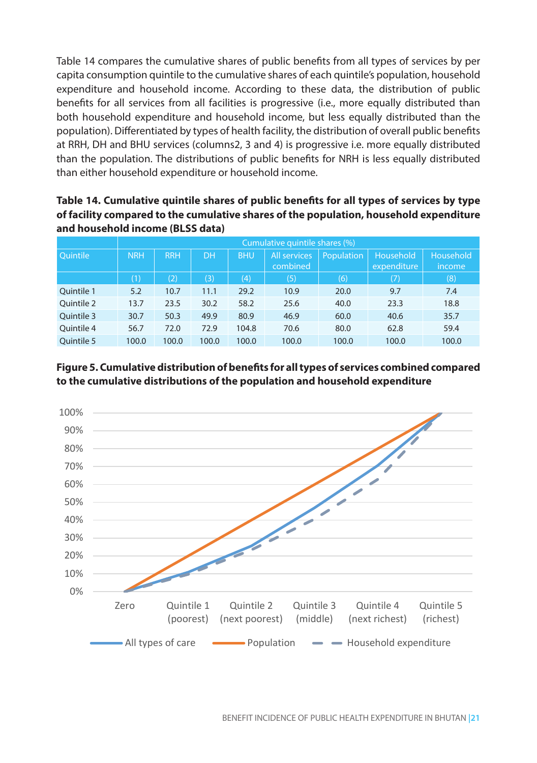Table 14 compares the cumulative shares of public benefits from all types of services by per capita consumption quintile to the cumulative shares of each quintile's population, household expenditure and household income. According to these data, the distribution of public benefits for all services from all facilities is progressive (i.e., more equally distributed than both household expenditure and household income, but less equally distributed than the population). Differentiated by types of health facility, the distribution of overall public benefits at RRH, DH and BHU services (columns2, 3 and 4) is progressive i.e. more equally distributed than the population. The distributions of public benefits for NRH is less equally distributed than either household expenditure or household income.

| Table 14. Cumulative quintile shares of public benefits for all types of services by type |
|-------------------------------------------------------------------------------------------|
| of facility compared to the cumulative shares of the population, household expenditure    |
| and household income (BLSS data)                                                          |

|                 |            | Cumulative quintile shares (%) |           |            |              |            |             |           |  |  |  |  |
|-----------------|------------|--------------------------------|-----------|------------|--------------|------------|-------------|-----------|--|--|--|--|
| <b>Ouintile</b> | <b>NRH</b> | <b>RRH</b>                     | <b>DH</b> | <b>BHU</b> | All services | Population | Household   | Household |  |  |  |  |
|                 |            |                                |           |            | combined     |            | expenditure | income    |  |  |  |  |
|                 | (1)        | (2)                            | (3)       | (4)        | (5)          | (6)        | (7)         | (8)       |  |  |  |  |
| Ouintile 1      | 5.2        | 10.7                           | 11.1      | 29.2       | 10.9         | 20.0       | 9.7         | 7.4       |  |  |  |  |
| Quintile 2      | 13.7       | 23.5                           | 30.2      | 58.2       | 25.6         | 40.0       | 23.3        | 18.8      |  |  |  |  |
| Ouintile 3      | 30.7       | 50.3                           | 49.9      | 80.9       | 46.9         | 60.0       | 40.6        | 35.7      |  |  |  |  |
| Ouintile 4      | 56.7       | 72.0                           | 72.9      | 104.8      | 70.6         | 80.0       | 62.8        | 59.4      |  |  |  |  |
| Ouintile 5      | 100.0      | 100.0                          | 100.0     | 100.0      | 100.0        | 100.0      | 100.0       | 100.0     |  |  |  |  |

### **Figure 5. Cumulative distribution of benefits for all types of services combined compared to the cumulative distributions of the population and household expenditure**

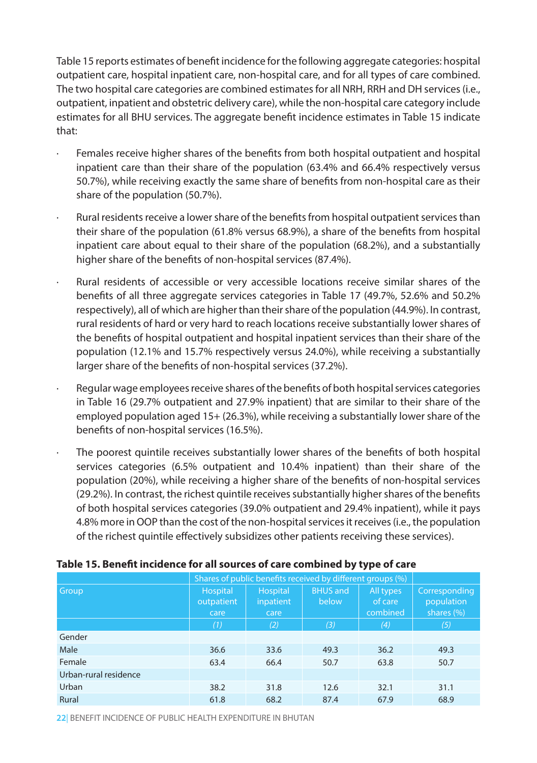Table 15 reports estimates of benefit incidence for the following aggregate categories: hospital outpatient care, hospital inpatient care, non-hospital care, and for all types of care combined. The two hospital care categories are combined estimates for all NRH, RRH and DH services (i.e., outpatient, inpatient and obstetric delivery care), while the non-hospital care category include estimates for all BHU services. The aggregate benefit incidence estimates in Table 15 indicate that:

- · Females receive higher shares of the benefits from both hospital outpatient and hospital inpatient care than their share of the population (63.4% and 66.4% respectively versus 50.7%), while receiving exactly the same share of benefits from non-hospital care as their share of the population (50.7%).
- · Rural residents receive a lower share of the benefits from hospital outpatient services than their share of the population (61.8% versus 68.9%), a share of the benefits from hospital inpatient care about equal to their share of the population (68.2%), and a substantially higher share of the benefits of non-hospital services (87.4%).
- · Rural residents of accessible or very accessible locations receive similar shares of the benefits of all three aggregate services categories in Table 17 (49.7%, 52.6% and 50.2% respectively), all of which are higher than their share of the population (44.9%). In contrast, rural residents of hard or very hard to reach locations receive substantially lower shares of the benefits of hospital outpatient and hospital inpatient services than their share of the population (12.1% and 15.7% respectively versus 24.0%), while receiving a substantially larger share of the benefits of non-hospital services (37.2%).
- · Regular wage employees receive shares of the benefits of both hospital services categories in Table 16 (29.7% outpatient and 27.9% inpatient) that are similar to their share of the employed population aged 15+ (26.3%), while receiving a substantially lower share of the benefits of non-hospital services (16.5%).
- The poorest quintile receives substantially lower shares of the benefits of both hospital services categories (6.5% outpatient and 10.4% inpatient) than their share of the population (20%), while receiving a higher share of the benefits of non-hospital services (29.2%). In contrast, the richest quintile receives substantially higher shares of the benefits of both hospital services categories (39.0% outpatient and 29.4% inpatient), while it pays 4.8% more in OOP than the cost of the non-hospital services it receives (i.e., the population of the richest quintile effectively subsidizes other patients receiving these services).

|                       |                                       | Shares of public benefits received by different groups (%) |                          |                                  |                                           |  |  |  |  |  |
|-----------------------|---------------------------------------|------------------------------------------------------------|--------------------------|----------------------------------|-------------------------------------------|--|--|--|--|--|
| Group                 | <b>Hospital</b><br>outpatient<br>care | <b>Hospital</b><br>inpatient<br>care                       | <b>BHUS and</b><br>below | All types<br>of care<br>combined | Corresponding<br>population<br>shares (%) |  |  |  |  |  |
|                       | (1)                                   | (2)                                                        | (3)                      | (4)                              | (5)                                       |  |  |  |  |  |
| Gender                |                                       |                                                            |                          |                                  |                                           |  |  |  |  |  |
| Male                  | 36.6                                  | 33.6                                                       | 49.3                     | 36.2                             | 49.3                                      |  |  |  |  |  |
| Female                | 63.4                                  | 66.4                                                       | 50.7                     | 63.8                             | 50.7                                      |  |  |  |  |  |
| Urban-rural residence |                                       |                                                            |                          |                                  |                                           |  |  |  |  |  |
| Urban                 | 38.2                                  | 31.8                                                       | 12.6                     | 32.1                             | 31.1                                      |  |  |  |  |  |
| Rural                 | 61.8                                  | 68.2                                                       | 87.4                     | 67.9                             | 68.9                                      |  |  |  |  |  |

#### **Table 15. Benefit incidence for all sources of care combined by type of care**

**22**| BENEFIT INCIDENCE OF PUBLIC HEALTH EXPENDITURE IN BHUTAN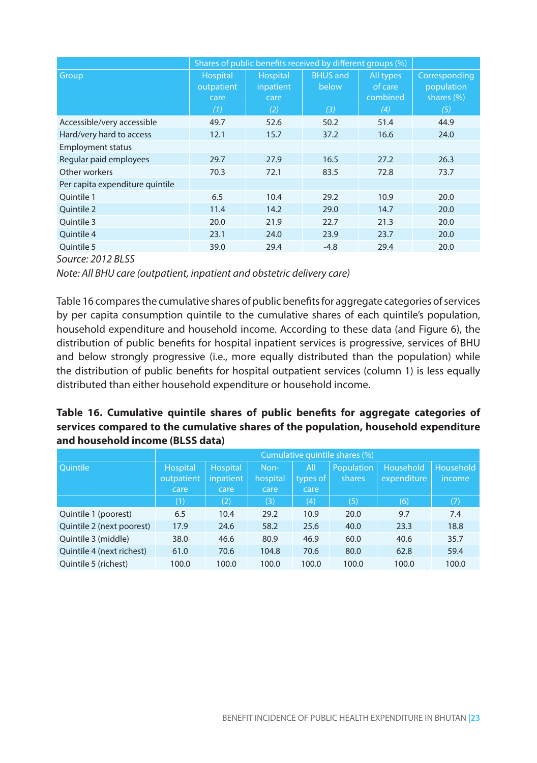|                                 | Shares of public benefits received by different groups (%) |                               |                          |                                  |                                              |  |  |  |  |  |
|---------------------------------|------------------------------------------------------------|-------------------------------|--------------------------|----------------------------------|----------------------------------------------|--|--|--|--|--|
| Group                           | Hospital<br>outpatient<br>care                             | Hospital<br>inpatient<br>care | <b>BHUS and</b><br>below | All types<br>of care<br>combined | Corresponding<br>population<br>shares $(\%)$ |  |  |  |  |  |
|                                 | (1)                                                        | (2)                           | (3)                      | (4)                              | (5)                                          |  |  |  |  |  |
| Accessible/very accessible      | 49.7                                                       | 52.6                          | 50.2                     | 51.4                             | 44.9                                         |  |  |  |  |  |
| Hard/very hard to access        | 12.1                                                       | 15.7                          | 37.2                     | 16.6                             | 24.0                                         |  |  |  |  |  |
| <b>Employment status</b>        |                                                            |                               |                          |                                  |                                              |  |  |  |  |  |
| Regular paid employees          | 29.7                                                       | 27.9                          | 16.5                     | 27.2                             | 26.3                                         |  |  |  |  |  |
| Other workers                   | 70.3                                                       | 72.1                          | 83.5                     | 72.8                             | 73.7                                         |  |  |  |  |  |
| Per capita expenditure quintile |                                                            |                               |                          |                                  |                                              |  |  |  |  |  |
| Ouintile 1                      | 6.5                                                        | 10.4                          | 29.2                     | 10.9                             | 20.0                                         |  |  |  |  |  |
| <b>Ouintile 2</b>               | 11.4                                                       | 14.2                          | 29.0                     | 14.7                             | 20.0                                         |  |  |  |  |  |
| Ouintile 3                      | 20.0                                                       | 21.9                          | 22.7                     | 21.3                             | 20.0                                         |  |  |  |  |  |
| Ouintile 4                      | 23.1                                                       | 24.0                          | 23.9                     | 23.7                             | 20.0                                         |  |  |  |  |  |
| Ouintile 5                      | 39.0                                                       | 29.4                          | $-4.8$                   | 29.4                             | 20.0                                         |  |  |  |  |  |

*Source: 2012 BLSS* 

*Note: All BHU care (outpatient, inpatient and obstetric delivery care)* 

Table 16 compares the cumulative shares of public benefits for aggregate categories of services by per capita consumption quintile to the cumulative shares of each quintile's population, household expenditure and household income. According to these data (and Figure 6), the distribution of public benefits for hospital inpatient services is progressive, services of BHU and below strongly progressive (i.e., more equally distributed than the population) while the distribution of public benefits for hospital outpatient services (column 1) is less equally distributed than either household expenditure or household income.

### **Table 16. Cumulative quintile shares of public benefits for aggregate categories of services compared to the cumulative shares of the population, household expenditure and household income (BLSS data)**

|                           | Cumulative quintile shares (%) |                 |          |            |               |             |               |  |  |  |
|---------------------------|--------------------------------|-----------------|----------|------------|---------------|-------------|---------------|--|--|--|
| <b>Ouintile</b>           | <b>Hospital</b>                | <b>Hospital</b> | Non-     | All        | Population    | Household   | Household     |  |  |  |
|                           | outpatient                     | inpatient       | hospital | types of I | <b>shares</b> | expenditure | <i>income</i> |  |  |  |
|                           | care                           | care            | care     | care       |               |             |               |  |  |  |
|                           | (1)                            | (2)             | (3)      | (4)        | (5)           | (6)         | (7)           |  |  |  |
| Quintile 1 (poorest)      | 6.5                            | 10.4            | 29.2     | 10.9       | 20.0          | 9.7         | 7.4           |  |  |  |
| Quintile 2 (next poorest) | 17.9                           | 24.6            | 58.2     | 25.6       | 40.0          | 23.3        | 18.8          |  |  |  |
| Quintile 3 (middle)       | 38.0                           | 46.6            | 80.9     | 46.9       | 60.0          | 40.6        | 35.7          |  |  |  |
| Quintile 4 (next richest) | 61.0                           | 70.6            | 104.8    | 70.6       | 80.0          | 62.8        | 59.4          |  |  |  |
| Quintile 5 (richest)      | 100.0                          | 100.0           | 100.0    | 100.0      | 100.0         | 100.0       | 100.0         |  |  |  |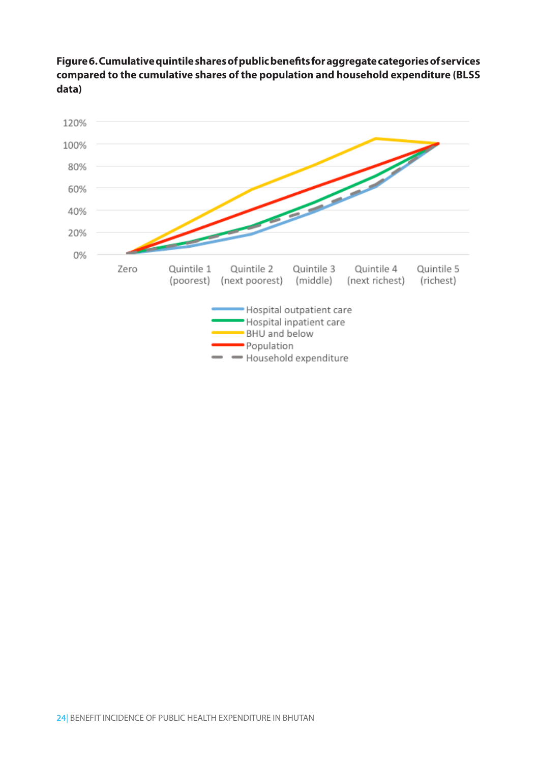**Figure 6. Cumulative quintile shares of public benefits for aggregate categories of services compared to the cumulative shares of the population and household expenditure (BLSS data)**

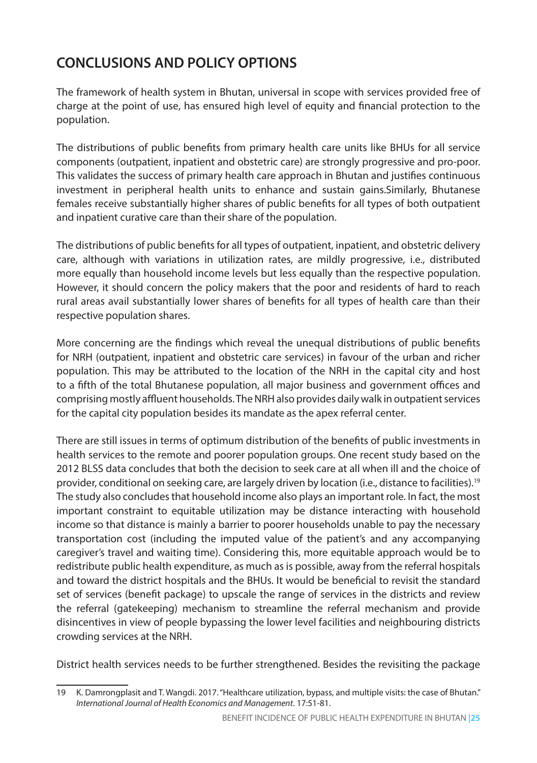## **CONCLUSIONS AND POLICY OPTIONS**

The framework of health system in Bhutan, universal in scope with services provided free of charge at the point of use, has ensured high level of equity and financial protection to the population.

The distributions of public benefits from primary health care units like BHUs for all service components (outpatient, inpatient and obstetric care) are strongly progressive and pro-poor. This validates the success of primary health care approach in Bhutan and justifies continuous investment in peripheral health units to enhance and sustain gains.Similarly, Bhutanese females receive substantially higher shares of public benefits for all types of both outpatient and inpatient curative care than their share of the population.

The distributions of public benefits for all types of outpatient, inpatient, and obstetric delivery care, although with variations in utilization rates, are mildly progressive, i.e., distributed more equally than household income levels but less equally than the respective population. However, it should concern the policy makers that the poor and residents of hard to reach rural areas avail substantially lower shares of benefits for all types of health care than their respective population shares.

More concerning are the findings which reveal the unequal distributions of public benefits for NRH (outpatient, inpatient and obstetric care services) in favour of the urban and richer population. This may be attributed to the location of the NRH in the capital city and host to a fifth of the total Bhutanese population, all major business and government offices and comprising mostly affluent households. The NRH also provides daily walk in outpatient services for the capital city population besides its mandate as the apex referral center.

There are still issues in terms of optimum distribution of the benefits of public investments in health services to the remote and poorer population groups. One recent study based on the 2012 BLSS data concludes that both the decision to seek care at all when ill and the choice of provider, conditional on seeking care, are largely driven by location (i.e., distance to facilities).19 The study also concludes that household income also plays an important role. In fact, the most important constraint to equitable utilization may be distance interacting with household income so that distance is mainly a barrier to poorer households unable to pay the necessary transportation cost (including the imputed value of the patient's and any accompanying caregiver's travel and waiting time). Considering this, more equitable approach would be to redistribute public health expenditure, as much as is possible, away from the referral hospitals and toward the district hospitals and the BHUs. It would be beneficial to revisit the standard set of services (benefit package) to upscale the range of services in the districts and review the referral (gatekeeping) mechanism to streamline the referral mechanism and provide disincentives in view of people bypassing the lower level facilities and neighbouring districts crowding services at the NRH.

District health services needs to be further strengthened. Besides the revisiting the package

<sup>19</sup> K. Damrongplasit and T. Wangdi. 2017. "Healthcare utilization, bypass, and multiple visits: the case of Bhutan." *International Journal of Health Economics and Management*. 17:51-81.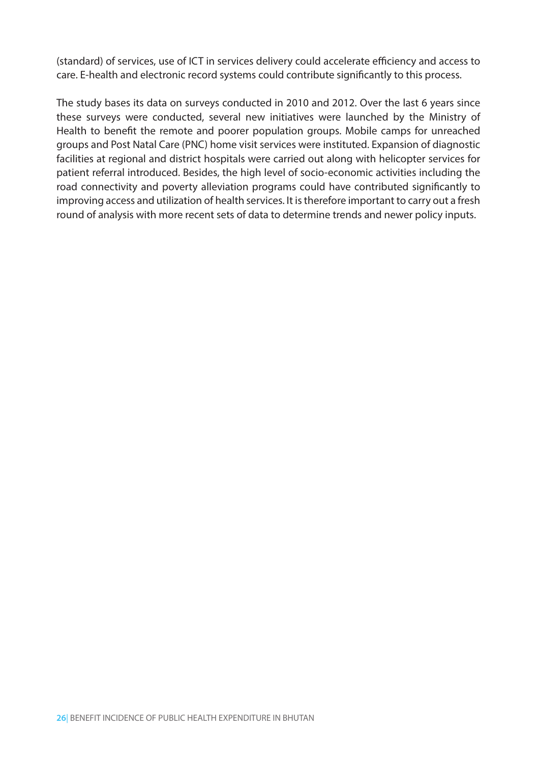(standard) of services, use of ICT in services delivery could accelerate efficiency and access to care. E-health and electronic record systems could contribute significantly to this process.

The study bases its data on surveys conducted in 2010 and 2012. Over the last 6 years since these surveys were conducted, several new initiatives were launched by the Ministry of Health to benefit the remote and poorer population groups. Mobile camps for unreached groups and Post Natal Care (PNC) home visit services were instituted. Expansion of diagnostic facilities at regional and district hospitals were carried out along with helicopter services for patient referral introduced. Besides, the high level of socio-economic activities including the road connectivity and poverty alleviation programs could have contributed significantly to improving access and utilization of health services. It is therefore important to carry out a fresh round of analysis with more recent sets of data to determine trends and newer policy inputs.